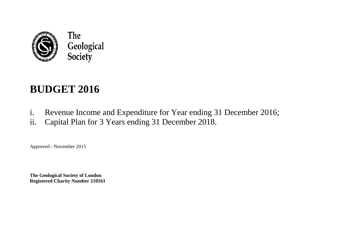

# **BUDGET 2016**

- i. Revenue Income and Expenditure for Year ending 31 December 2016;
- ii. Capital Plan for 3 Years ending 31 December 2018.

Approved - November 2015

**The Geological Society of London Registered Charity Number 210161**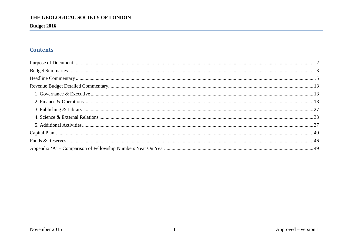**Budget 2016** 

### **Contents**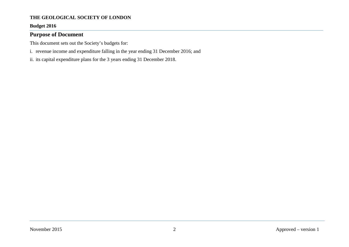#### **Budget 2016**

#### <span id="page-2-0"></span>**Purpose of Document**

This document sets out the Society's budgets for:

- i. revenue income and expenditure falling in the year ending 31 December 2016; and
- ii. its capital expenditure plans for the 3 years ending 31 December 2018.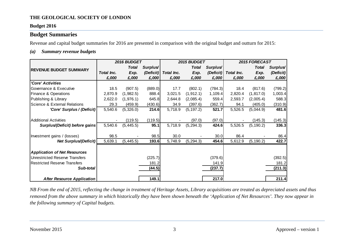#### **Budget 2016**

#### <span id="page-3-0"></span>**Budget Summaries**

Revenue and capital budget summaries for 2016 are presented in comparison with the original budget and outturn for 2015:

#### *(a) Summary revenue budgets*

|                                         |            | 2016 BUDGET  |                      |            | 2015 BUDGET  |                      | 2015 FORECAST |            |           |  |
|-----------------------------------------|------------|--------------|----------------------|------------|--------------|----------------------|---------------|------------|-----------|--|
| <b>REVENUE BUDGET SUMMARY</b>           |            | <b>Total</b> | Surplus <sup>/</sup> |            | <b>Total</b> | Surplus <sup>/</sup> |               | Total      | Surplus   |  |
|                                         | Total Inc. | Exp.         | (Deficit)            | Total Inc. | Exp.         | (Deficit)            | Total Inc.    | Exp.       | (Deficit) |  |
|                                         | £,000      | £,000        | £,000                | £,000      | £,000        | £,000                | £,000         | £,000      | £,000     |  |
| 'Core' Activities                       |            |              |                      |            |              |                      |               |            |           |  |
| Governance & Executive                  | 18.5       | (907.5)      | (889.0)              | 17.7       | (802.1)      | (784.3)              | 18.4          | (817.6)    | (799.2)   |  |
| Finance & Operations                    | 2,870.9    | (1,982.5)    | 888.4                | 3,021.5    | (1, 912.1)   | 1,109.4              | 2,820.4       | (1, 817.0) | 1,003.4   |  |
| Publishing & Library                    | 2,622.0    | (1,976.1)    | 645.8                | 2,644.8    | (2,085.4)    | 559.4                | 2,593.7       | (2,005.4)  | 588.3     |  |
| <b>Science &amp; External Relations</b> | 29.3       | (459.9)      | (430.6)              | 34.9       | (397.6)      | (362.7)              | 94.1          | (405.0)    | (310.9)   |  |
| 'Core' Surplus / (Deficit)              | 5,540.6    | (5,326.0)    | 214.6                | 5,718.9    | (5, 197.2)   | 521.7                | 5,526.5       | (5,044.9)  | 481.6     |  |
|                                         |            |              |                      |            |              |                      |               |            |           |  |
| <b>Additional Activities</b>            |            | (119.5)      | (119.5)              |            | (97.0)       | (97.0)               |               | (145.3)    | (145.3)   |  |
| Surplus/(Deficit) before gains          | 5,540.6    | (5, 445.5)   | 95.1                 | 5,718.9    | (5, 294.3)   | 424.6                | 5,526.5       | (5, 190.2) | 336.3     |  |
|                                         |            |              |                      |            |              |                      |               |            |           |  |
| Investment gains / (losses)             | 98.5       |              | 98.5                 | 30.0       |              | 30.0                 | 86.4          |            | 86.4      |  |
| <b>Net Surplus/(Deficit)</b>            | 5,639.1    | (5,445.5)    | 193.6                | 5,748.9    | (5, 294.3)   | 454.6                | 5,612.9       | (5, 190.2) | 422.7     |  |
|                                         |            |              |                      |            |              |                      |               |            |           |  |
| <b>Application of Net Resources</b>     |            |              |                      |            |              |                      |               |            |           |  |
| <b>Unrestricted Reserve Transfers</b>   |            |              | (225.7)              |            |              | (379.6)              |               |            | (392.5)   |  |
| <b>Restricted Reserve Transfers</b>     |            |              | 181.2                |            |              | 141.9                |               |            | 181.2     |  |
| Sub-total                               |            |              | (44.5)               |            |              | (237.7)              |               |            | (211.3)   |  |
|                                         |            |              |                      |            |              |                      |               |            |           |  |
| <b>After Resource Application</b>       |            |              | 149.1                |            |              | 217.0                |               |            | 211.4     |  |

*NB From the end of 2015, reflecting the change in treatment of Heritage Assets, Library acquisitions are treated as depreciated assets and thus removed from the above summary in which historically they have been shown beneath the 'Application of Net Resources'. They now appear in the following summary of Capital budgets.*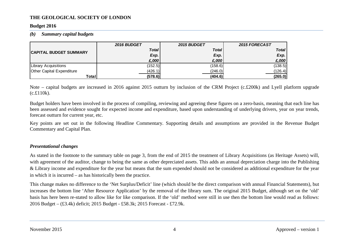#### **Budget 2016**

#### *(b) Summary capital budgets*

|                               | <b>2016 BUDGET</b> | <b>2015 BUDGET</b> | <b>2015 FORECAST</b> |
|-------------------------------|--------------------|--------------------|----------------------|
| <b>CAPITAL BUDGET SUMMARY</b> | <b>Total</b>       | <b>Total</b>       | <b>Total</b>         |
|                               | Exp.               | Exp.               | Exp.                 |
|                               | £,000              | £.000              | £,000                |
| Library Acquisitions          | (152.5)            | (158.6)            | (138.5)              |
| Other Capital Expenditure     | (426.1)            | (246.0)            | (126.4)              |
| Total                         | (578.6)            | (404.6)            | (265.0)              |

Note – capital budgets are increased in 2016 against 2015 outturn by inclusion of the CRM Project (c.£200k) and Lyell platform upgrade (c.£110k).

Budget holders have been involved in the process of compiling, reviewing and agreeing these figures on a zero-basis, meaning that each line has been assessed and evidence sought for expected income and expenditure, based upon understanding of underlying drivers, year on year trends, forecast outturn for current year, etc.

Key points are set out in the following Headline Commentary. Supporting details and assumptions are provided in the Revenue Budget Commentary and Capital Plan.

#### *Presentational changes*

As stated in the footnote to the summary table on page 3, from the end of 2015 the treatment of Library Acquisitions (as Heritage Assets) will, with agreement of the auditor, change to being the same as other depreciated assets. This adds an annual depreciation charge into the Publishing & Library income and expenditure for the year but means that the sum expended should not be considered as additional expenditure for the year in which it is incurred – as has historically been the practice.

This change makes no difference to the 'Net Surplus/Deficit' line (which should be the direct comparison with annual Financial Statements), but increases the bottom line 'After Resource Application' by the removal of the library sum. The original 2015 Budget, although set on the 'old' basis has here been re-stated to allow like for like comparison. If the 'old' method were still in use then the bottom line would read as follows: 2016 Budget – (£3.4k) deficit; 2015 Budget - £58.3k; 2015 Forecast - £72.9k.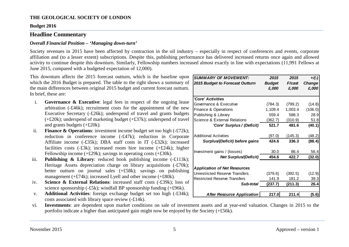#### **Budget 2016**

#### <span id="page-5-0"></span>**Headline Commentary**

#### *Overall Financial Position – 'Managing down-turn'*

Society revenues in 2015 have been affected by contraction in the oil industry – especially in respect of conferences and events, corporate affiliation and (to a lesser extent) subscriptions. Despite this, publishing performance has delivered increased returns once again and allowed activity to continue despite this downturn. Similarly, Fellowship numbers increased almost exactly in line with expectations (11,991 Fellows at June 2015, compared with a budgeted expectation of 12,000).

This downturn affects the 2015 forecast outturn, which is the baseline upon which the 2016 Budget is prepared. The table to the right shows a summary of the main differences between original 2015 budget and current forecast outturn. In brief, these are:

- i. **Governance & Executive**: legal fees in respect of the ongoing lease arbitration (-£46k); recruitment costs for the appointment of the new Executive Secretary (-£26k); underspend of travel and grants budgets (+£20k); underspend of marketing budget (+£37k); underspend of travel and grants budgets (+£20k).
- ii. **Finance & Operations**: investment income budget set too high (-£72k); reduction in conference income (-£47k); reduction in Corporate Affiliate income (-£35k); DBA staff costs in IT (-£32k); increased facilities costs (-£3k); increased room hire income (+£24k); higher Fellowship income  $(+£29k)$ ; savings in operating costs  $(+£30k)$ .
- iii. **Publishing & Library**: reduced book publishing income (-£113k); Heritage Assets depreciation charge on library acquisitions (-£70k); better outturn on journal sales (+£58k); savings on publishing management (+£74k); increased Lyell and other income (+£80k).
- iv. **Science & External Relations**: increased staff costs (-£39k); loss of science sponsorship (-£5k); windfall BP sponsorship funding (+£96k).
- v. **Additional Activities**: foreign exchange budget set too high (-£34k); costs associated with library space review (-£14k).

| <b>SUMMARY OF MOVEMENT:</b>         | 2015                   | 2015            | $+/(-)$                |
|-------------------------------------|------------------------|-----------------|------------------------|
| 2015 Budget to Forecast Outturn     | <b>Budget</b><br>£,000 | F/cast<br>£,000 | <b>Change</b><br>£,000 |
|                                     |                        |                 |                        |
| 'Core' Activities                   |                        |                 |                        |
| Governance & Executive              | (784.3)                | (799.2)         | (14.8)                 |
| Finance & Operations                | 1,109.4                | 1,003.4         | (106.0)                |
| Publishing & Library                | 559.4                  | 588.3           | 28.9                   |
| Science & External Relations        | (362.7)                | (310.9)         | 51.8                   |
| 'Core' Surplus / (Deficit)          | 521.7                  | 481.6           | (40.1)                 |
| <b>Additional Activities</b>        | (97.0)                 | (145.3)         | (48.2)                 |
| Surplus/(Deficit) before gains      | 424.6                  | 336.3           | (88.4)                 |
| Investment gains / (losses)         | 30.0                   | 86.4            | 56.4                   |
| Net Surplus/(Deficit)               | 454.6                  | 422.7           | (32.0)                 |
| <b>Application of Net Resources</b> |                        |                 |                        |
| Unrestricted Reserve Transfers      | (379.6)                | (392.5)         | (12.9)                 |
| <b>Restricted Reserve Transfers</b> | 141.9                  | 181.2           | 39.3                   |
| Sub-total                           | (237.7)                | (211.3)         | 26.4                   |
|                                     |                        |                 |                        |
| <b>After Resource Application</b>   | 217.0                  | 211.4           | (5.6)                  |

vi. **Investments**: are dependent upon market conditions on sale of investment assets and at year-end valuation. Changes in 2015 to the portfolio indicate a higher than anticipated gain might now be enjoyed by the Society (+£56k).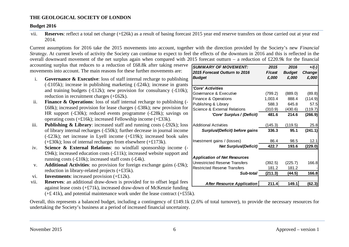#### **Budget 2016**

vii. **Reserves**: reflect a total net change (+£26k) as a result of basing forecast 2015 year end reserve transfers on those carried out at year end 2014.

Current assumptions for 2016 take the 2015 movements into account, together with the direction provided by the Society's new *Financial Strategy*. At current levels of activity the Society can continue to expect to feel the effects of the downturn in 2016 and this is reflected in the overall downward movement of the net surplus again when compared with 2015 forecast outturn – a reduction of £220.9k for the financial

accounting surplus that reduces to a reduction of £68.8k after taking reserve *SUMMARY OF MOVEMENT: 2015 2016 +/(-)* movements into account. The main reasons for these further movements are:

- i. **Governance & Executive**: loss of staff internal recharge to publishing (-£105k); increase in publishing marketing (-£24k); increase in grants and training budgets (-£12k); new provision for consultancy (-£10k); reduction in recruitment charges (+£62k).
- ii. **Finance & Operations**: loss of staff internal recharge to publishing (- £68k); increased provision for lease charges (-£38k); new provision for HR support (-£30k); reduced events programme (-£28k); savings on operating costs (+£16k); increased Fellowship income (+£33k).
- iii. **Publishing & Library**: increased staff and running costs (-£92k); loss of library internal recharges (-£50k); further decrease in journal income (-£23k); net increase in Lyell income (+£19k); increased book sales (+£30k); loss of internal recharges from elsewhere (+£173k).
- iv. **Science & External Relations**: no windfall sponsorship income (- £94k); increased education costs (-£11k); increased website support and running costs (-£10k); increased staff costs (-£4k).
- v. **Additional Activities**: no provision for foreign exchange gains (-£9k); reduction in library-related projects (+£35k).
- vi. **Investments**: increased provision (+£12k).
- vii. **Reserves**: an additional draw-down is provided for to offset legal fees against lease costs (+£71k), increased draw-down of McKenzie funding  $(+£$  41k), and potential maintenance work under the lease contract  $(+£55k)$ .

Overall, this represents a balanced budget, including a contingency of £149.1k (2.6% of total turnover), to provide the necessary resources for undertaking the Society's business at a period of increased financial uncertainty.

| SUMMARY OF MOVEMENI:                    | 2015    | 2016          | $+/(-)$ |
|-----------------------------------------|---------|---------------|---------|
| 2015 Forecast Outturn to 2016           | F/cast  | <b>Budget</b> | Change  |
| <b>Budget</b>                           | £,000   | £,000         | £,000   |
|                                         |         |               |         |
| 'Core' Activities                       |         |               |         |
| Governance & Executive                  | (799.2) | (889.0)       | (89.8)  |
| <b>Finance &amp; Operations</b>         | 1,003.4 | 888.4         | (114.9) |
| Publishing & Library                    | 588.3   | 645.8         | 57.5    |
| <b>Science &amp; External Relations</b> | (310.9) | (430.6)       | (119.7) |
| 'Core' Surplus / (Deficit)              | 481.6   | 214.6         | (266.9) |
| Additional Activities                   | (145.3) | (119.5)       | 25.8    |
| Surplus/(Deficit) before gains          | 336.3   | 95.1          | (241.1) |
| Investment gains / (losses)             | 86.4    | 98.5          | 12.1    |
| <b>Net Surplus/(Deficit)</b>            | 422.7   | 193.6         | (229.0) |
|                                         |         |               |         |
| <b>Application of Net Resources</b>     |         |               |         |
| <b>Unrestricted Reserve Transfers</b>   | (392.5) | (225.7)       | 166.8   |
| <b>Restricted Reserve Transfers</b>     | 181.2   | 181.2         |         |
| Sub-total                               | (211.3) | (44.5)        | 166.8   |
|                                         |         |               |         |
| <b>After Resource Application</b>       | 211.4   | 149.1         | (62.3)  |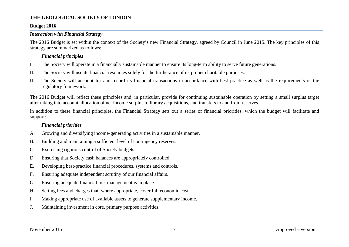#### **Budget 2016**

#### *Interaction with Financial Strategy*

The 2016 Budget is set within the context of the Society's new Financial Strategy, agreed by Council in June 2015. The key principles of this strategy are summarized as follows:

#### *Financial principles*

- I. The Society will operate in a financially sustainable manner to ensure its long-term ability to serve future generations.
- II. The Society will use its financial resources solely for the furtherance of its proper charitable purposes.
- III. The Society will account for and record its financial transactions in accordance with best practice as well as the requirements of the regulatory framework.

The 2016 Budget will reflect these principles and, in particular, provide for continuing sustainable operation by setting a small surplus target after taking into account allocation of net income surplus to library acquisitions, and transfers to and from reserves.

In addition to these financial principles, the Financial Strategy sets out a series of financial priorities, which the budget will facilitate and support:

#### *Financial priorities*

- A. Growing and diversifying income-generating activities in a sustainable manner.
- B. Building and maintaining a sufficient level of contingency reserves.
- C. Exercising rigorous control of Society budgets.
- D. Ensuring that Society cash balances are appropriately controlled.
- E. Developing best-practice financial procedures, systems and controls.
- F. Ensuring adequate independent scrutiny of our financial affairs.
- G. Ensuring adequate financial risk management is in place.
- H. Setting fees and charges that, where appropriate, cover full economic cost.
- I. Making appropriate use of available assets to generate supplementary income.
- J. Maintaining investment in core, primary purpose activities.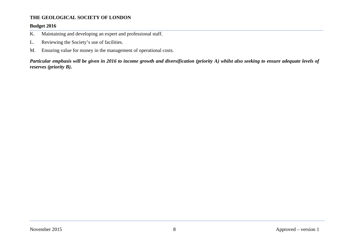#### **Budget 2016**

- K. Maintaining and developing an expert and professional staff.
- L. Reviewing the Society's use of facilities.
- M. Ensuring value for money in the management of operational costs.

*Particular emphasis will be given in 2016 to income growth and diversification (priority A) whilst also seeking to ensure adequate levels of reserves (priority B).*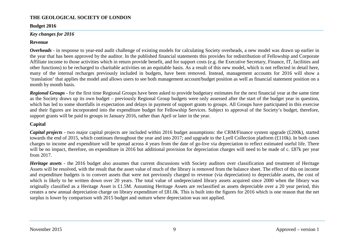#### **Budget 2016**

#### *Key changes for 2016*

#### **Revenue**

*Overheads* - in response to year-end audit challenge of existing models for calculating Society overheads, a new model was drawn up earlier in the year that has been approved by the auditor. In the published financial statements this provides for redistribution of Fellowship and Corporate Affiliate income to those activities which in return provide benefit, and for support costs (e.g. the Executive Secretary, Finance, IT, facilities and other functions) to be recharged to charitable activities on an equitable basis. As a result of this new model, which is not reflected in detail here, many of the internal recharges previously included in budgets, have been removed. Instead, management accounts for 2016 will show a 'translation' that applies the model and allows users to see both management account/budget position as well as financial statement position on a month by month basis.

*Regional Groups* - for the first time Regional Groups have been asked to provide budgetary estimates for the next financial year at the same time as the Society draws up its own budget – previously Regional Group budgets were only assessed after the start of the budget year in question, which has led to some shortfalls in expectation and delays in payment of support grants to groups. All Groups have participated in this exercise and their figures are incorporated into the expenditure budget for Fellowship Services. Subject to approval of the Society's budget, therefore, support grants will be paid to groups in January 2016, rather than April or later in the year.

#### **Capital**

*Capital projects* - two major capital projects are included within 2016 budget assumptions: the CRM/Finance system upgrade (£200k), started towards the end of 2015, which continues throughout the year and into 2017; and upgrade to the Lyell Collection platform (£110k). In both cases charges to income and expenditure will be spread across 4 years from the date of go-live via depreciation to reflect estimated useful life. There will be no impact, therefore, on expenditure in 2016 but additional provision for depreciation charges will need to be made of c. £87k per year from 2017.

*Heritage assets* - the 2016 budget also assumes that current discussions with Society auditors over classification and treatment of Heritage Assets will be resolved, with the result that the asset value of much of the library is removed from the balance sheet. The effect of this on income and expenditure budgets is to convert assets that were not previously charged to revenue (via depreciation) to depreciable assets, the cost of which is likely to be written down over 20 years. The total value of undepreciated library assets acquired since 2000 when the library was originally classified as a Heritage Asset is £1.5M. Assuming Heritage Assets are reclassified as assets depreciable over a 20 year period, this creates a new annual depreciation charge on library expenditure of £81.0k. This is built into the figures for 2016 which is one reason that the net surplus is lower by comparison with 2015 budget and outturn where depreciation was not applied.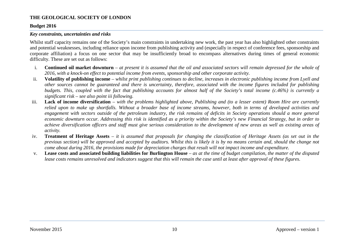#### **Budget 2016**

#### *Key constraints, uncertainties and risks*

Whilst staff capacity remains one of the Society's main constraints in undertaking new work, the past year has also highlighted other constraints and potential weaknesses, including reliance upon income from publishing activity and (especially in respect of conference fees, sponsorship and corporate affiliation) a focus on one sector that may be insufficiently broad to encompass alternatives during times of general economic difficulty. These are set out as follows:

- i. **Continued oil market downturn** *at present it is assumed that the oil and associated sectors will remain depressed for the whole of 2016, with a knock-on effect to potential income from events, sponsorship and other corporate activity.*
- ii. **Volatility of publishing income** *whilst print publishing continues to decline, increases in electronic publishing income from Lyell and other sources cannot be guaranteed and there is uncertainty, therefore, associated with the income figures included for publishing budgets. This, coupled with the fact that publishing accounts for almost half of the Society's total income (c.46%) is currently a significant risk – see also point iii following.*
- iii. **Lack of income diversification** *with the problems highlighted above, Publishing and (to a lesser extent) Room Hire are currently relied upon to make up shortfalls. Without a broader base of income streams, however, both in terms of developed activities and engagement with sectors outside of the petroleum industry, the risk remains of deficits in Society operations should a more general economic downturn occur. Addressing this risk is identified as a priority within the Society's new Financial Strategy, but in order to achieve diversification officers and staff must give serious consideration to the development of new areas as well as existing areas of activity.*
- iv. **Treatment of Heritage Assets** *it is assumed that proposals for changing the classification of Heritage Assets (as set out in the previous section) will be approved and accepted by auditors. Whilst this is likely it is by no means certain and, should the change not come about during 2016, the provisions made for depreciation charges that result will not impact income and expenditure.*
- v. **Lease costs and associated building liabilities for Burlington House** *as at the time of budget compilation, the matter of the disputed lease costs remains unresolved and indicators suggest that this will remain the case until at least after approval of these figures.*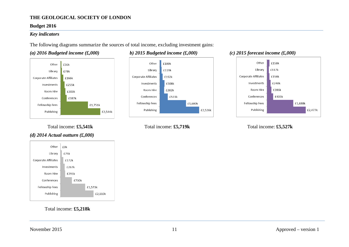#### **Budget 2016**

#### *Key indicators*

The following diagrams summarize the sources of total income, excluding investment gains:

#### *(a) 2016 Budgeted income (£,000) b) 2015 Budgeted income (£,000) (c) 2015 forecast income (£,000)*





Total income:  $\pounds5,541k$  Total income:  $\pounds5,719k$  Total income:  $\pounds5,527k$ 



#### *(d) 2014 Actual outturn (£,000)*



Total income: **£5,218k**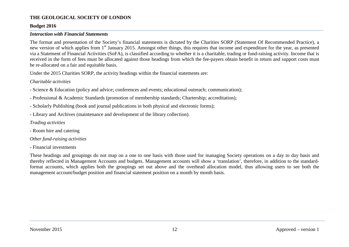#### **Budget 2016**

#### *Interaction with Financial Statements*

The format and presentation of the Society's financial statements is dictated by the Charities SORP (Statement Of Recommended Practice), a new version of which applies from 1<sup>st</sup> January 2015. Amongst other things, this requires that income and expenditure for the year, as presented via a Statement of Financial Activities (SoFA), is classified according to whether it is a charitable, trading or fund-raising activity. Income that is received in the form of fees must be allocated against those headings from which the fee-payers obtain benefit in return and support costs must be re-allocated on a fair and equitable basis.

Under the 2015 Charities SORP, the activity headings within the financial statements are:

#### *Charitable activities*

- Science & Education (policy and advice; conferences and events; educational outreach; communication);
- Professional & Academic Standards (promotion of membership standards; Chartership; accreditation);
- Scholarly Publishing (book and journal publications in both physical and electronic forms);
- Library and Archives (maintenance and development of the library collection).

#### *Trading activities*

- Room hire and catering
- *Other fund-raising activities*
- Financial investments

These headings and groupings do not map on a one to one basis with those used for managing Society operations on a day to day basis and thereby reflected in Management Accounts and budgets. Management accounts will show a 'translation', therefore, in addition to the standardformat accounts, which applies both the groupings set out above and the overhead allocation model, thus allowing users to see both the management account/budget position and financial statement position on a month by month basis.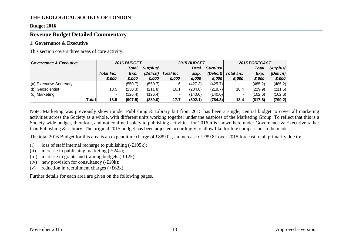#### **Budget 2016**

#### <span id="page-13-0"></span>**Revenue Budget Detailed Commentary**

#### <span id="page-13-1"></span>**1. Governance & Executive**

This section covers three areas of core activity:

| Governance & Executive  | 2016 BUDGET |              |                      |            | <b>2015 BUDGET</b> |                      | 2015 FORECAST |              |                      |
|-------------------------|-------------|--------------|----------------------|------------|--------------------|----------------------|---------------|--------------|----------------------|
|                         |             | <b>Total</b> | Surplus <sup>/</sup> |            | <b>Total</b>       | Surplus <sup>/</sup> |               | <b>Total</b> | Surplus <sup>/</sup> |
|                         | Total Inc.  | Exp.         | (Deficit)            | Total Inc. | Exp.               | (Deficit)            | Total Inc.    | Exp.         | (Deficit)            |
|                         | £,000       | £,000        | £,000                | £,000      | £,000              | £,000                | £,000         | £,000        | E,000                |
| (a) Executive Secretary |             | (550.7)      | (550.7)              | 1.6        | (427.3)            | (425.7)              |               | (485.2)      | (485.2)              |
| (b) Geoscientist        | 18.5        | (230.3)      | (211.8)              | 16.1       | (234.8)            | (218.7)              | 18.4          | (229.9)      | (211.5)              |
| $(c)$ Marketing         |             | (126.4)      | (126.4)              |            | (140.0)            | (140.0)              |               | (102.6)      | (102.6)              |
| Total                   | 18.5        | (907.5)      | (889.0)              | 17.7       | (802.1)            | (784.3)              | 18.4          | (817.6)      | (799.2)              |

Note: Marketing was previously shown under Publishing & Library but from 2015 has been a single, central budget to cover all marketing activities across the Society as a whole, with different units working together under the auspices of the Marketing Group. To reflect that this is a Society-wide budget, therefore, and not confined solely to publishing activities, for 2016 it is shown here under Governance & Executive rather than Publishing & Library. The original 2015 budget has been adjusted accordingly to allow like for like comparisons to be made.

The total 2016 Budget for this area is an expenditure charge of £889.0k, an increase of £89.8k over 2015 forecast total, primarily due to:

- (i) loss of staff internal recharge to publishing  $(-\text{\pounds}105k)$ ;
- (ii) increase in publishing marketing  $(-£24k)$ ;
- (iii) increase in grants and training budgets  $(-£12k)$ ;
- (iv) new provision for consultancy  $(-\text{\pounds}10k)$ ;
- (v) reduction in recruitment charges  $(+£62k)$ .

Further details for each area are given on the following pages.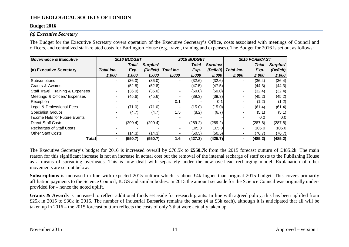#### **Budget 2016**

#### *(a) Executive Secretary*

The Budget for the Executive Secretary covers operation of the Executive Secretary's Office, costs associated with meetings of Council and officers, and centralized staff-related costs for Burlington House (e.g. travel, training and expenses). The Budget for 2016 is set out as follows:

| <b>Governance &amp; Executive</b> |                | 2016 BUDGET |                      |            | 2015 BUDGET |                      |                          | 2015 FORECAST |           |
|-----------------------------------|----------------|-------------|----------------------|------------|-------------|----------------------|--------------------------|---------------|-----------|
|                                   |                | Total       | Surplus <sup>/</sup> |            | Total       | Surplus <sup>/</sup> |                          | Total         | Surplus   |
| (a) Executive Secretary           | Total Inc.     | Exp.        | (Deficit)            | Total Inc. | Exp.        | (Deficit)            | Total Inc.               | Exp.          | (Deficit) |
|                                   | £,000          | £,000       | £,000                | £,000      | £,000       | £,000                | £,000                    | £,000         | £,000     |
| Subscriptions                     |                | (36.0)      | (36.0)               |            | (32.6)      | (32.6)               |                          | (36.4)        | (36.4)    |
| <b>Grants &amp; Awards</b>        | $\blacksquare$ | (52.8)      | (52.8)               |            | (47.5)      | (47.5)               | -                        | (44.3)        | (44.3)    |
| Staff Travel, Training & Expenses |                | (36.0)      | (36.0)               |            | (50.0)      | (50.0)               |                          | (32.4)        | (32.4)    |
| Meetings & Officers' Expenses     |                | (45.6)      | (45.6)               |            | (39.3)      | (39.3)               |                          | (45.2)        | (45.2)    |
| Reception                         |                |             |                      | 0.1        |             | 0.1                  | $\overline{\phantom{0}}$ | (1.2)         | (1.2)     |
| Legal & Professional Fees         |                | (71.0)      | (71.0)               |            | (15.0)      | (15.0)               |                          | (61.4)        | (61.4)    |
| <b>Specialist Groups</b>          |                | (4.7)       | (4.7)                | 1.5        | (8.2)       | (6.7)                |                          | (5.1)         | (5.1)     |
| Income Held for Future Events     |                |             |                      |            |             |                      |                          | 0.0           | 0.0       |
| <b>IDirect Staff Costs</b>        |                | (290.4)     | (290.4)              |            | (289.2)     | (289.2)              |                          | (287.6)       | (287.6)   |
| Recharges of Staff Costs          |                |             |                      |            | 105.0       | 105.0                | $\overline{\phantom{0}}$ | 105.0         | 105.0     |
| <b>Other Staff Costs</b>          | -              | (14.3)      | (14.3)               |            | (50.5)      | (50.5)               | $\blacksquare$           | (76.7)        | (76.7)    |
| Total                             | ٠              | (550.7)     | (550.7)              | 1.6        | (427.3)     | (425.7)              | ٠                        | (485.2)       | (485.2)   |

The Executive Secretary's budget for 2016 is increased overall by £70.5k to **£550.7k** from the 2015 forecast outturn of £485.2k. The main reason for this significant increase is not an increase in actual cost but the removal of the internal recharge of staff costs to the Publishing House as a means of spreading overheads. This is now dealt with separately under the new overhead recharging model. Explanation of other movements are set out below.

**Subscriptions** is increased in line with expected 2015 outturn which is about £4k higher than original 2015 budget. This covers primarily affiliation payments to the Science Council, IUGS and similar bodies. In 2015 the amount set aside for the Science Council was originally underprovided for – hence the noted uplift.

Grants & Awards is increased to reflect additional funds set aside for research grants. In line with agreed policy, this has been uplifted from £25k in 2015 to £30k in 2016. The number of Industrial Bursaries remains the same (4 at £3k each), although it is anticipated that all will be taken up in 2016 – the 2015 forecast outturn reflects the costs of only 3 that were actually taken up.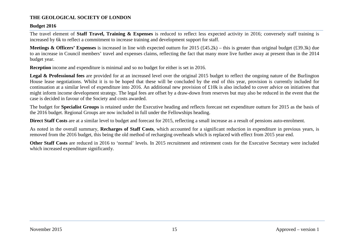#### **Budget 2016**

The travel element of **Staff Travel, Training & Expenses** is reduced to reflect less expected activity in 2016; conversely staff training is increased by 6k to reflect a commitment to increase training and development support for staff.

**Meetings & Officers' Expenses** is increased in line with expected outturn for 2015 (£45.2k) – this is greater than original budget (£39.3k) due to an increase in Council members' travel and expenses claims, reflecting the fact that many more live further away at present than in the 2014 budget year.

**Reception** income and expenditure is minimal and so no budget for either is set in 2016.

Legal & Professional fees are provided for at an increased level over the original 2015 budget to reflect the ongoing nature of the Burlington House lease negotiations. Whilst it is to be hoped that these will be concluded by the end of this year, provision is currently included for continuation at a similar level of expenditure into 2016. An additional new provision of £10k is also included to cover advice on initiatives that might inform income development strategy. The legal fees are offset by a draw-down from reserves but may also be reduced in the event that the case is decided in favour of the Society and costs awarded.

The budget for **Specialist Groups** is retained under the Executive heading and reflects forecast net expenditure outturn for 2015 as the basis of the 2016 budget. Regional Groups are now included in full under the Fellowships heading.

**Direct Staff Costs** are at a similar level to budget and forecast for 2015, reflecting a small increase as a result of pensions auto-enrolment.

As noted in the overall summary, **Recharges of Staff Costs**, which accounted for a significant reduction in expenditure in previous years, is removed from the 2016 budget, this being the old method of recharging overheads which is replaced with effect from 2015 year end.

**Other Staff Costs** are reduced in 2016 to 'normal' levels. In 2015 recruitment and retirement costs for the Executive Secretary were included which increased expenditure significantly.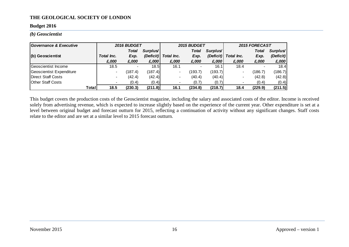#### **Budget 2016**

#### *(b) Geoscientist*

| <b>Governance &amp; Executive</b> |                          | 2016 BUDGET              |           |                | 2015 BUDGET |                      | 2015 FORECAST            |         |           |  |
|-----------------------------------|--------------------------|--------------------------|-----------|----------------|-------------|----------------------|--------------------------|---------|-----------|--|
|                                   |                          | <b>Total</b>             | Surplus'  |                | Total       | Surplus <sup>/</sup> |                          | Total   | Surplus   |  |
| (b) Geoscientist                  | Total Inc.               | Exp.                     | (Deficit) | Total Inc.     | Exp.        | (Deficit)            | Total Inc.               | Exp.    | (Deficit) |  |
|                                   | £,000                    | £,000                    | £,000     | £,000          | £,000       | £,000                | £,000                    | £,000   | £,000     |  |
| Geoscientist Income               | 18.5                     | $\overline{\phantom{0}}$ | 18.5      | 16.1           |             | 16.1                 | 18.4                     |         | 18.4      |  |
| Geoscientist Expenditure          | $\blacksquare$           | (187.4)                  | (187.4)   | $\blacksquare$ | (193.7)     | (193.7)              | -                        | (186.7) | (186.7)   |  |
| Direct Staff Costs                |                          | (42.4)                   | (42.4)    | -              | (40.4)      | (40.4)               | $\overline{\phantom{0}}$ | (42.8)  | (42.8)    |  |
| <b>Other Staff Costs</b>          | $\overline{\phantom{a}}$ | (0.4)                    | (0.4)     |                | (0.7)       | (0.7)                |                          | (0.4)   | (0.4)     |  |
| Total                             | 18.5                     | (230.3)                  | (211.8)   | 16.1           | (234.8)     | (218.7)              | 18.4                     | (229.9) | (211.5)   |  |

This budget covers the production costs of the Geoscientist magazine, including the salary and associated costs of the editor. Income is received solely from advertising revenue, which is expected to increase slightly based on the experience of the current year. Other expenditure is set at a level between original budget and forecast outturn for 2015, reflecting a continuation of activity without any significant changes. Staff costs relate to the editor and are set at a similar level to 2015 forecast outturn.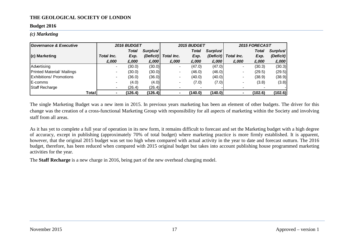#### **Budget 2016**

*(c) Marketing*

| Governance & Executive         |            | 2016 BUDGET  |           |                          | <b>2015 BUDGET</b> |           |            | 2015 FORECAST |                      |  |
|--------------------------------|------------|--------------|-----------|--------------------------|--------------------|-----------|------------|---------------|----------------------|--|
|                                |            | <b>Total</b> | Surplus'  |                          | Total              | Surplus   |            | <b>Total</b>  | Surplus <sup>/</sup> |  |
| (c) Marketing                  | Total Inc. | Exp.         | (Deficit) | Total Inc.               | Exp.               | (Deficit) | Total Inc. | Exp.          | (Deficit)            |  |
|                                | £,000      | £,000        | £,000     | £,000                    | £,000              | £,000     | £,000      | £,000         | £,000                |  |
| Advertising                    |            | (30.0)       | (30.0)    | $\overline{\phantom{0}}$ | (47.0)             | (47.0)    |            | (30.3)        | (30.3)               |  |
| Printed Material/ Mailings     |            | (30.0)       | (30.0)    |                          | (46.0)             | (46.0)    |            | (29.5)        | (29.5)               |  |
| <b>Exhibitions/ Promotions</b> |            | (36.0)       | (36.0)    | $\,$                     | (40.0)             | (40.0)    | $\,$       | (38.9)        | (38.9)               |  |
| E-comms                        |            | (4.0)        | (4.0)     |                          | (7.0)              | (7.0)     |            | (3.8)         | (3.8)                |  |
| Staff Recharge                 |            | (26.4)       | (26.4)    |                          |                    |           |            |               |                      |  |
| Totall                         |            | (126.4)      | (126.4)   |                          | (140.0)            | (140.0)   |            | (102.6)       | (102.6)              |  |

The single Marketing Budget was a new item in 2015. In previous years marketing has been an element of other budgets. The driver for this change was the creation of a cross-functional Marketing Group with responsibility for all aspects of marketing within the Society and involving staff from all areas.

As it has yet to complete a full year of operation in its new form, it remains difficult to forecast and set the Marketing budget with a high degree of accuracy, except in publishing (approximately 70% of total budget) where marketing practice is more firmly established. It is apparent, however, that the original 2015 budget was set too high when compared with actual activity in the year to date and forecast outturn. The 2016 budget, therefore, has been reduced when compared with 2015 original budget but takes into account publishing house programmed marketing activities for the year.

The **Staff Recharge** is a new charge in 2016, being part of the new overhead charging model.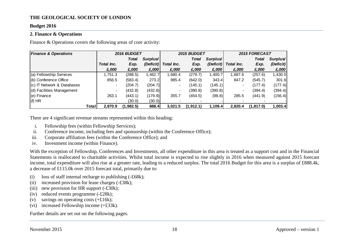#### **Budget 2016**

#### <span id="page-18-0"></span>**2. Finance & Operations**

Finance & Operations covers the following areas of core activity:

| <b>Finance &amp; Operations</b> |            | 2016 BUDGET  |                      |                | 2015 BUDGET  |           | 2015 FORECAST            |              |           |  |
|---------------------------------|------------|--------------|----------------------|----------------|--------------|-----------|--------------------------|--------------|-----------|--|
|                                 |            | <b>Total</b> | Surplus <sup>/</sup> |                | <b>Total</b> | Surplus'  |                          | <b>Total</b> | Surplus   |  |
|                                 | Total Inc. | Exp.         | (Deficit)            | Total Inc.     | Exp.         | (Deficit) | Total Inc.               | Exp.         | (Deficit) |  |
|                                 | £,000      | £,000        | £,000                | £,000          | £,000        | £,000     | £,000                    | £,000        | £,000     |  |
| (a) Fellowship Services         | 1,751.3    | (288.5)      | 1,462.7              | 1.680.4        | (279.7)      | ,400.7    | .687.6                   | (257.6)      | 1,430.0   |  |
| (b) Conference Office           | 856.5      | (583.4)      | 273.2                | 985.4          | (642.0)      | 343.4     | 847.2                    | (545.7)      | 301.6     |  |
| (c) IT Network & Databases      |            | (204.7)      | (204.7)              | $\blacksquare$ | (145.1)      | (145.1)   | $\overline{\phantom{a}}$ | (177.4)      | (177.4)   |  |
| (d) Facilities Management       |            | (432.8)      | (432.8)              | $\blacksquare$ | (390.8)      | (390.8)   | -                        | (394.4)      | (394.4)   |  |
| (e) Finance                     | 263.1      | (443.1)      | (179.9)              | 355.7          | (454.5)      | (98.8)    | 285.5                    | (441.9)      | (156.4)   |  |
| $(f)$ HR                        |            | (30.0)       | (30.0)               |                |              |           |                          |              |           |  |
| Total                           | 2,870.9    | (1,982.5)    | 888.4                | 3.021.5        | (1, 912.1)   | 1,109.4   | 2.820.4                  | (1, 817.0)   | 1,003.4   |  |

There are 4 significant revenue streams represented within this heading:

- i. Fellowship fees (within Fellowship Services);
- ii. Conference income, including fees and sponsorship (within the Conference Office);
- iii. Corporate affiliation fees (within the Conference Office); and
- iv. Investment income (within Finance).

With the exception of Fellowship, Conferences and Investments, all other expenditure in this area is treated as a support cost and in the Financial Statements is reallocated to charitable activities. Whilst total income is expected to rise slightly in 2016 when measured against 2015 forecast income, total expenditure will also rise at a greater rate, leading to a reduced surplus. The total 2016 Budget for this area is a surplus of £888.4k, a decrease of £115.0k over 2015 forecast total, primarily due to:

- (i) loss of staff internal recharge to publishing (-£68k);
- (ii) increased provision for lease charges (-£38k);
- (iii) new provision for HR support  $(-£30k)$ ;
- (iv) reduced events programme (-£28k);
- (v) savings on operating costs  $(+£16k)$ ;
- (vi) increased Fellowship income (+£33k).

Further details are set out on the following pages.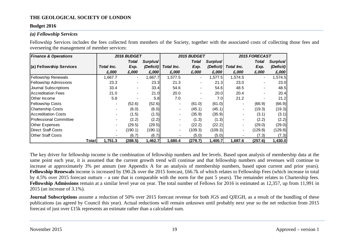#### **Budget 2016**

#### *(a) Fellowship Services*

Fellowship Services includes the fees collected from members of the Society, together with the associated costs of collecting those fees and overseeing the management of member services:

| <b>Finance &amp; Operations</b> |                | 2016 BUDGET    |                      |                          | 2015 BUDGET |                      |                | 2015 FORECAST            |           |  |
|---------------------------------|----------------|----------------|----------------------|--------------------------|-------------|----------------------|----------------|--------------------------|-----------|--|
|                                 |                | Total          | Surplus <sup>/</sup> |                          | Total       | Surplus <sup>/</sup> |                | Total                    | Surplus/  |  |
| (a) Fellowship Services         | Total Inc.     | Exp.           | (Deficit)            | Total Inc.               | Exp.        | (Deficit)            | Total Inc.     | Exp.                     | (Deficit) |  |
|                                 | £,000          | £,000          | £,000                | £,000                    | £,000       | £,000                | £,000          | £,000                    | £,000     |  |
| <b>Fellowship Renewals</b>      | 1,667.7        | $\blacksquare$ | 1,667.7              | 1,577.5                  | ۰.          | 1,577.5              | 1,574.5        | $\sim$                   | 1,574.5   |  |
| <b>Fellowship Admissions</b>    | 23.3           | $\blacksquare$ | 23.3                 | 21.3                     |             | 21.3                 | 23.0           | $\blacksquare$           | 23.0      |  |
| Journal Subscriptions           | 33.4           |                | 33.4                 | 54.6                     |             | 54.6                 | 48.5           |                          | 48.5      |  |
| Accreditation Fees              | 21.0           | $\blacksquare$ | 21.0                 | 20.0                     |             | 20.0                 | 20.4           | $\overline{\phantom{0}}$ | 20.4      |  |
| <b>Other Income</b>             | 5.8            |                | 5.8                  | 7.0                      |             | 7.0                  | 21.2           |                          | 21.2      |  |
| <b>Fellowship Costs</b>         | -              | (52.6)         | (52.6)               |                          | (61.0)      | (61.0)               | $\blacksquare$ | (66.9)                   | (66.9)    |  |
| <b>Chartership Costs</b>        | $\blacksquare$ | (6.0)          | (6.0)                |                          | (45.1)      | (45.1)               | $\blacksquare$ | (19.3)                   | (19.3)    |  |
| <b>Accreditation Costs</b>      |                | (1.5)          | (1.5)                |                          | (35.9)      | (35.9)               |                | (3.1)                    | (3.1)     |  |
| Professional Committee          |                | (2.2)          | (2.2)                |                          | (1.3)       | (1.3)                |                | (2.2)                    | (2.2)     |  |
| <b>Other Expenses</b>           | $\blacksquare$ | (29.5)         | (29.5)               |                          | (22.2)      | (22.2)               |                | (29.0)                   | (29.0)    |  |
| <b>Direct Staff Costs</b>       | -              | (190.1)        | (190.1)              | $\overline{\phantom{a}}$ | (109.3)     | (109.3)              | -              | (129.8)                  | (129.8)   |  |
| <b>Other Staff Costs</b>        |                | (6.7)          | (6.7)                |                          | (5.0)       | (5.0)                |                | (7.3)                    | (7.3)     |  |
| <b>Total</b>                    | 1,751.3        | (288.5)        | 1,462.7              | 1,680.4                  | (279.7)     | 1,400.7              | 1,687.6        | (257.6)                  | 1,430.0   |  |

The key driver for fellowship income is the combination of fellowship numbers and fee levels. Based upon analysis of membership data at the same point each year, it is assumed that the current growth trend will continue and that fellowship numbers and revenues will continue to increase at approximately 3% per annum (see Appendix A for an analysis of membership numbers, based upon current and prior years). **Fellowship Renewals** income is increased by £90.2k over the 2015 forecast, £66.7k of which relates to Fellowship Fees (which increase in total by 4.5% over 2015 forecast outturn – a rate that is comparable with the norm for the past 5 years). The remainder relates to Chartership fees. **Fellowship Admissions** remain at a similar level year on year. The total number of Fellows for 2016 is estimated as 12,357, up from 11,991 in 2015 (an increase of 3.1%).

**Journal Subscriptions** assume a reduction of 50% over 2015 forecast revenue for both JGS and QJEGH, as a result of the bundling of these publications (as agreed by Council this year). Actual reductions will remain unknown until probably next year so the net reduction from 2015 forecast of just over £15k represents an estimate rather than a calculated sum.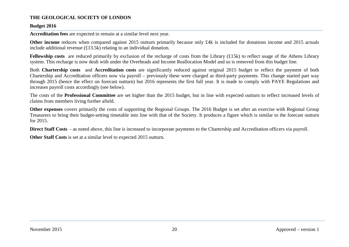#### **Budget 2016**

**Accreditation fees** are expected to remain at a similar level next year.

**Other income** reduces when compared against 2015 outturn primarily because only £4k is included for donations income and 2015 actuals include additional revenue (£13.5k) relating to an individual donation.

**Fellowship costs** are reduced primarily by exclusion of the recharge of costs from the Library (£15k) to reflect usage of the Athens Library system. This recharge is now dealt with under the Overheads and Income Reallocation Model and so is removed from this budget line.

Both **Chartership costs** and **Accreditation costs** are significantly reduced against original 2015 budget to reflect the payment of both Chartership and Accreditation officers now via payroll – previously these were charged as third-party payments. This change started part way through 2015 (hence the effect on forecast outturn) but 2016 represents the first full year. It is made to comply with PAYE Regulations and increases payroll costs accordingly (see below).

The costs of the **Professional Committee** are set higher than the 2015 budget, but in line with expected outturn to reflect increased levels of claims from members living further afield.

**Other expenses** covers primarily the costs of supporting the Regional Groups. The 2016 Budget is set after an exercise with Regional Group Treasurers to bring their budget-setting timetable into line with that of the Society. It produces a figure which is similar to the forecast outturn for 2015.

**Direct Staff Costs** - as noted above, this line is increased to incorporate payments to the Chartership and Accreditation officers via payroll.

**Other Staff Costs** is set at a similar level to expected 2015 outturn.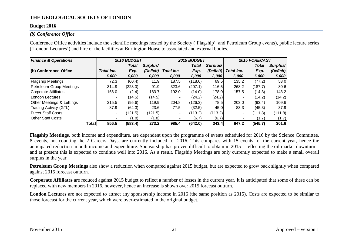#### **Budget 2016**

#### *(b) Conference Office*

Conference Office activities include the scientific meetings hosted by the Society ('Flagship' and Petroleum Group events), public lecture series ('London Lectures') and hire of the facilities at Burlington House to associated and external bodies.

| <b>Finance &amp; Operations</b>      |                          | 2016 BUDGET |                      |            | 2015 BUDGET |           | 2015 FORECAST            |         |           |  |
|--------------------------------------|--------------------------|-------------|----------------------|------------|-------------|-----------|--------------------------|---------|-----------|--|
|                                      |                          | Total       | Surplus <sup>/</sup> |            | Total       | Surplus   |                          | Total   | Surplus   |  |
| (b) Conference Office                | Total Inc.               | Exp.        | (Deficit)            | Total Inc. | Exp.        | (Deficit) | Total Inc.               | Exp.    | (Deficit) |  |
|                                      | £,000                    | £,000       | £,000                | £,000      | £,000       | £,000     | £,000                    | £,000   | £,000     |  |
| <b>Flagship Meetings</b>             | 72.3                     | (60.4)      | 11.9                 | 187.5      | (118.0)     | 69.5      | 135.2                    | (77.2)  | 58.0      |  |
| Petroleum Group Meetings             | 314.9                    | (223.0)     | 91.9                 | 323.6      | (207.1)     | 116.5     | 268.2                    | (187.7) | 80.6      |  |
| Corporate Affiliates                 | 166.0                    | (2.4)       | 163.7                | 192.0      | (14.0)      | 178.0     | 157.5                    | (14.3)  | 143.2     |  |
| London Lectures                      | $\overline{\phantom{0}}$ | (14.5)      | (14.5)               |            | (24.2)      | (24.2)    |                          | (14.2)  | (14.2)    |  |
| <b>Other Meetings &amp; Lettings</b> | 215.5                    | (95.6)      | 119.9                | 204.8      | (126.3)     | 78.5      | 203.0                    | (93.4)  | 109.6     |  |
| <b>Trading Activity (GTL)</b>        | 87.9                     | (64.3)      | 23.6                 | 77.5       | (32.5)      | 45.0      | 83.3                     | (45.3)  | 37.9      |  |
| <b>IDirect Staff Costs</b>           | $\blacksquare$           | (121.5)     | (121.5)              | ۰.         | (113.2)     | (113.2)   | $\overline{\phantom{0}}$ | (111.8) | (111.8)   |  |
| <b>IOther Staff Costs</b>            |                          | (1.8)       | (1.8)                |            | (6.7)       | (6.7)     | $\overline{\phantom{0}}$ | (1.7)   | (1.7)     |  |
| Total                                | 856.5                    | (583.4)     | 273.2                | 985.4      | (642.0)     | 343.4     | 847.2                    | (545.7) | 301.6     |  |

**Flagship Meetings**, both income and expenditure, are dependent upon the programme of events scheduled for 2016 by the Science Committee. 8 events, not counting the 2 Careers Days, are currently included for 2016. This compares with 15 events for the current year, hence the anticipated reduction in both income and expenditure. Sponsorship has proven difficult to obtain in 2015 – reflecting the oil market downturn – and at present this is expected to continue well into 2016. As a result, Flagship Meetings are only currently expected to make a small overall surplus in the year.

**Petroleum Group Meetings** also show a reduction when compared against 2015 budget, but are expected to grow back slightly when compared against 2015 forecast outturn.

**Corporate Affiliates** are reduced against 2015 budget to reflect a number of losses in the current year. It is anticipated that some of these can be replaced with new members in 2016, however, hence an increase is shown over 2015 forecast outturn.

**London Lectures** are not expected to attract any sponsorship income in 2016 (the same position as 2015). Costs are expected to be similar to those forecast for the current year, which were over-estimated in the original budget.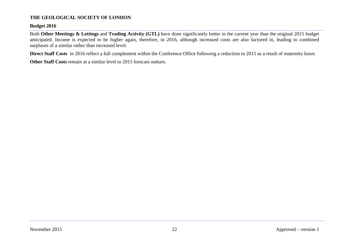#### **Budget 2016**

Both **Other Meetings & Lettings** and **Trading Activity (GTL)** have done significantly better in the current year than the original 2015 budget anticipated. Income is expected to be higher again, therefore, in 2016, although increased costs are also factored in, leading to combined surpluses of a similar rather than increased level.

**Direct Staff Costs** in 2016 reflect a full complement within the Conference Office following a reduction in 2015 as a result of maternity leave.

**Other Staff Costs** remain at a similar level to 2015 forecast outturn.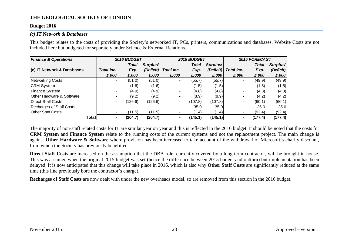#### **Budget 2016**

#### *(c) IT Network & Databases*

This budget relates to the costs of providing the Society's networked IT, PCs, printers, communications and databases. Website Costs are not included here but budgeted for separately under Science & External Relations.

| <b>Finance &amp; Operations</b>      |                          | 2016 BUDGET |                      |            | 2015 BUDGET  |           | 2015 FORECAST |         |           |  |
|--------------------------------------|--------------------------|-------------|----------------------|------------|--------------|-----------|---------------|---------|-----------|--|
|                                      |                          | Total       | Surplus <sup>/</sup> |            | <b>Total</b> | Surplus'  |               | Total   | Surplus   |  |
| (c) IT Network & Databases           | Total Inc.               | Exp.        | (Deficit)            | Total Inc. | Exp.         | (Deficit) | Total Inc.    | Exp.    | (Deficit) |  |
|                                      | £,000                    | £,000       | £,000                | £,000      | £,000        | £,000     | £,000         | £,000   | £,000     |  |
| Networking Costs                     | $\blacksquare$           | (51.0)      | (51.0)               | н.         | (55.7)       | (55.7)    | -             | (49.9)  | (49.9)    |  |
| CRM System                           | $\blacksquare$           | (1.6)       | (1.6)                |            | (1.5)        | (1.5)     |               | (1.5)   | (1.5)     |  |
| Finance System                       | $\overline{\phantom{0}}$ | (4.9)       | (4.9)                |            | (4.8)        | (4.8)     | -             | (4.3)   | (4.3)     |  |
| <b>Other Hardware &amp; Software</b> |                          | (9.2)       | (9.2)                |            | (8.9)        | (8.9)     | ۰             | (4.2)   | (4.2)     |  |
| Direct Staff Costs                   |                          | (126.6)     | (126.6)              | ۰.         | (107.8)      | (107.8)   | ۰             | (60.1)  | (60.1)    |  |
| Recharges of Staff Costs             |                          |             |                      |            | 35.0         | 35.0      | ۰.            | 35.0    | 35.0      |  |
| <b>Other Staff Costs</b>             | $\overline{\phantom{a}}$ | (11.5)      | (11.5)               |            | (1.4)        | (1.4)     |               | (92.4)  | (92.4)    |  |
| Total                                | ۰                        | (204.7)     | (204.7)              |            | (145.1)      | (145.1)   |               | (177.4) | (177.4)   |  |

The majority of non-staff related costs for IT are similar year on year and this is reflected in the 2016 budget. It should be noted that the costs for **CRM System** and **Finance System** relate to the running costs of the current systems and not the replacement project. The main change is against **Other Hardware & Software** where provision has been increased to take account of the withdrawal of Microsoft's charity discount, from which the Society has previously benefitted.

**Direct Staff Costs** are increased on the assumption that the DBA role, currently covered by a long-term contractor, will be brought in-house. This was assumed when the original 2015 budget was set (hence the difference between 2015 budget and outturn) but implementation has been delayed. It is now anticipated that this change will take place in 2016, which is also why **Other Staff Costs** are significantly reduced at the same time (this line previously bore the contractor's charge).

**Recharges of Staff Costs** are now dealt with under the new overheads model, so are removed from this section in the 2016 budget.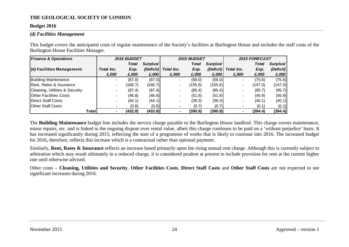#### **Budget 2016**

#### *(d) Facilities Management*

This budget covers the anticipated costs of regular maintenance of the Society's facilities at Burlington House and includes the staff costs of the Burlington House Facilities Manager.

| <b>Finance &amp; Operations</b> |                          | 2016 BUDGET  |                      |            | 2015 BUDGET  |                      | 2015 FORECAST  |              |           |  |
|---------------------------------|--------------------------|--------------|----------------------|------------|--------------|----------------------|----------------|--------------|-----------|--|
|                                 |                          | <b>Total</b> | Surplus <sup>/</sup> |            | <b>Total</b> | Surplus <sup>/</sup> |                | <b>Total</b> | Surplus/  |  |
| (d) Facilities Management       | Total Inc.               | Exp.         | (Deficit)            | Total Inc. | Exp.         | (Deficit)            | Total Inc.     | Exp.         | (Deficit) |  |
|                                 | £,000                    | £,000        | £,000                | £,000      | £,000        | £,000                | £,000          | £,000        | £,000     |  |
| Building Maintenance            | $\blacksquare$           | (87.0)       | (87.0)               |            | (58.0)       | (58.0)               | $\blacksquare$ | (75.6)       | (75.6)    |  |
| Rent, Rates & Insurance         | $\blacksquare$           | (166.7)      | (166.7)              |            | (155.6)      | (155.6)              | -              | (147.0)      | (147.0)   |  |
| Cleaning, Utilities & Security  | $\blacksquare$           | (87.4)       | (87.4)               |            | (85.4)       | (85.4)               | $\blacksquare$ | (85.7)       | (85.7)    |  |
| <b>Other Facilities Costs</b>   | $\blacksquare$           | (46.8)       | (46.8)               |            | (51.8)       | (51.8)               | $\blacksquare$ | (45.9)       | (45.9)    |  |
| <b>IDirect Staff Costs</b>      | $\overline{\phantom{a}}$ | (44.1)       | (44.1)               |            | (39.3)       | (39.3)               | -              | (40.1)       | (40.1)    |  |
| <b>IOther Staff Costs</b>       | $\blacksquare$           | (0.8)        | (0.8)                |            | (0.7)        | (0.7)                | $\blacksquare$ | (0.1)        | (0.1)     |  |
| Total                           |                          | (432.8)      | (432.8)              |            | (390.8)      | (390.8)              | ۰              | (394.4)      | (394.4)   |  |

The **Building Maintenance** budget line includes the service charge payable to the Burlington House landlord. This charge covers maintenance, minor repairs, etc. and is linked to the ongoing dispute over rental value, albeit this charge continues to be paid on a 'without prejudice' basis. It has increased significantly during 2015, reflecting the start of a programme of works that is likely to continue into 2016. The increased budget for 2016, therefore, reflects this increase which is a contractual rather than optional payment.

Similarly, **Rent, Rates & Insurance** reflects an increase based primarily upon the rising annual rent charge. Although this is currently subject to arbitration which may result ultimately in a reduced charge, it is considered prudent at present to include provision for rent at the current higher rate until otherwise advised.

Other costs – **Cleaning, Utilities and Security**, **Other Facilities Costs**, **Direct Staff Costs** and **Other Staff Costs** are not expected to see significant increases during 2016.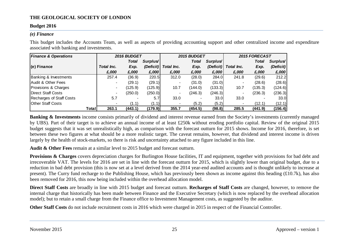#### **Budget 2016**

#### *(e) Finance*

This budget includes the Accounts Team, as well as aspects of providing accounting support and other centralized income and expenditure associated with banking and investments.

| <b>Finance &amp; Operations</b>  |                          | 2016 BUDGET  |                      |            | <b>2015 BUDGET</b> |                      | <b>2015 FORECAST</b> |         |           |  |
|----------------------------------|--------------------------|--------------|----------------------|------------|--------------------|----------------------|----------------------|---------|-----------|--|
|                                  |                          | <b>Total</b> | Surplus <sup>/</sup> |            | Total              | Surplus <sup>/</sup> |                      | Total   | Surplus   |  |
| $(e)$ Finance                    | Total Inc.               | Exp.         | (Deficit)            | Total Inc. | Exp.               | (Deficit)            | Total Inc.           | Exp.    | (Deficit) |  |
|                                  | £,000                    | £,000        | £,000                | £,000      | £,000              | £,000                | £,000                | £,000   | £,000     |  |
| <b>Banking &amp; Investments</b> | 257.4                    | (36.9)       | 220.5                | 312.0      | (28.0)             | 284.0                | 241.8                | (29.6)  | 212.2     |  |
| Audit & Other Fees               | $\overline{\phantom{0}}$ | (29.1)       | (29.1)               |            | (31.0)             | (31.0)               |                      | (28.6)  | (28.6)    |  |
| Provisions & Charges             | $\blacksquare$           | (125.9)      | (125.9)              | 10.7       | (144.0)            | (133.3)              | 10.7                 | (135.3) | (124.6)   |  |
| Direct Staff Costs               | $\qquad \qquad$          | (250.0)      | (250.0)              |            | (246.3)            | (246.3)              |                      | (236.3) | (236.3)   |  |
| Recharges of Staff Costs         | 5.7                      |              | 5.7                  | 33.0       |                    | 33.0                 | 33.0                 |         | 33.0      |  |
| Other Staff Costs                |                          | (1.1)        | (1.1)                |            | (5.2)              | (5.2)                |                      | (12.1)  | (12.1)    |  |
| Total                            | 263.1                    | (443.1)      | (179.9)              | 355.7      | (454.5)            | (98.8)               | 285.5                | (441.9) | (156.4)   |  |

**Banking & Investments** income consists primarily of dividend and interest revenue earned from the Society's investments (currently managed) by UBS). Part of their target is to achieve an annual income of at least £250k without eroding portfolio capital. Review of the original 2015 budget suggests that it was set unrealistically high, as comparison with the forecast outturn for 2015 shows. Income for 2016, therefore, is set between these two figures at what should be a more realistic target. The caveat remains, however, that dividend and interest income is driven largely by the health of stock-markets, so there is risk and uncertainty attached to any figure included in this line.

**Audit & Other Fees** remain at a similar level to 2015 budget and forecast outturn.

**Provisions & Charges** covers depreciation charges for Burlington House facilities, IT and equipment, together with provisions for bad debt and irrecoverable VAT. The levels for 2016 are set in line with the forecast outturn for 2015, which is slightly lower than original budget, due to a reduction in bad debt provision (this is now set at a level derived from the 2014 year-end audited accounts and is thought unlikely to increase at present). The Curry fund recharge to the Publishing House, which has previously been shown as income against this heading (£10.7k), has also been removed for 2016, this now being included within the overhead allocation model.

**Direct Staff Costs** are broadly in line with 2015 budget and forecast outturn. **Recharges of Staff Costs** are changed, however, to remove the internal charge that historically has been made between Finance and the Executive Secretary (which is now replaced by the overhead allocation model); but to retain a small charge from the Finance office to Investment Management costs, as suggested by the auditor.

**Other Staff Costs** do not include recruitment costs in 2016 which were charged in 2015 in respect of the Financial Controller.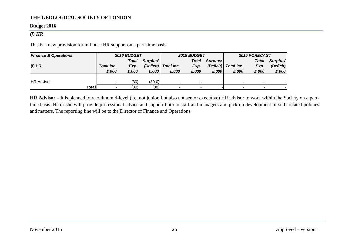#### **Budget 2016**

#### *(f) HR*

This is a new provision for in-house HR support on a part-time basis.

| <b>Finance &amp; Operations</b> |                          | <b>2016 BUDGET</b> |                      |                      | 2015 BUDGET  |                      | <b>2015 FORECAST</b> |              |           |
|---------------------------------|--------------------------|--------------------|----------------------|----------------------|--------------|----------------------|----------------------|--------------|-----------|
|                                 |                          | <b>Total</b>       | Surplus <sup>/</sup> |                      | <b>Total</b> | Surplus <sup>/</sup> |                      | <b>Total</b> | Surplus/  |
| $(f)$ HR                        | Total Inc.               | Exp.               |                      | (Deficit) Total Inc. | Exp.         |                      | (Deficit) Total Inc. | Exp.         | (Deficit) |
|                                 | £,000                    | £,000              | £,000                | £,000                | £.000        | £,000                | £,000                | £,000        | £,000     |
|                                 |                          |                    |                      |                      |              |                      |                      |              |           |
| <b>IHR Advisor</b>              | $\overline{\phantom{a}}$ | (30)               | (30.0)               |                      |              |                      |                      |              |           |
| Total                           |                          | (30)               | (30)                 |                      |              |                      |                      |              |           |

**HR Advisor** – it is planned to recruit a mid-level (i.e. not junior, but also not senior executive) HR advisor to work within the Society on a parttime basis. He or she will provide professional advice and support both to staff and managers and pick up development of staff-related policies and matters. The reporting line will be to the Director of Finance and Operations.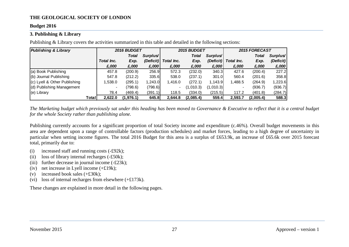#### **Budget 2016**

#### <span id="page-27-0"></span>**3. Publishing & Library**

Publishing & Library covers the activities summarized in this table and detailed in the following sections:

| <b>Publishing &amp; Library</b> |                          | <b>2016 BUDGET</b> |                  |                          | 2015 BUDGET |                      | <b>2015 FORECAST</b> |           |           |  |
|---------------------------------|--------------------------|--------------------|------------------|--------------------------|-------------|----------------------|----------------------|-----------|-----------|--|
|                                 |                          | Total              | Surplus'         |                          | Total       | Surplus <sup>/</sup> |                      | Total     | Surplus'  |  |
|                                 | Total Inc.               | Exp.               | (Deficit)        | Total Inc.               | Exp.        | (Deficit)            | Total Inc.           | Exp.      | (Deficit) |  |
|                                 | £,000                    | £,000              | £,000            | £,000                    | £,000       | £,000                | £,000                | £,000     | £,000     |  |
| (a) Book Publishing             | 457.8                    | (200.9)            | 256.9            | 572.3                    | (232.0)     | 340.3                | 427.6                | (200.4)   | 227.2     |  |
| (b) Journal Publishing          | 547.8                    | (212.2)            | 335.6            | 538.0                    | (237.1)     | 301.0                | 560.4                | (201.6)   | 358.8     |  |
| (c) Lyell & Other Publishing    | ,538.0                   | (295.1)            | 1.243.0 <b>I</b> | 1,416.0                  | (272.1)     | 1,143.9              | 1,488.5              | (264.9)   | 1,223.6   |  |
| (d) Publishing Management       | $\overline{\phantom{0}}$ | (798.6)            | (798.6)          | $\overline{\phantom{0}}$ | (1,010.3)   | (1,010.3)            |                      | (936.7)   | (936.7)   |  |
| (e) Library                     | 78.4                     | (469.4)            | (391.1)          | 118.5                    | (334.0)     | (215.5)              | 117.2                | (401.8)   | (284.7)   |  |
| Total                           | 2.622.0                  | (1,976.1)          | 645.8            | 2,644.8                  | (2,085.4)   | 559.4                | 2,593.7              | (2,005.4) | 588.3     |  |

*The Marketing budget which previously sat under this heading has been moved to Governance & Executive to reflect that it is a central budget for the whole Society rather than publishing alone.*

Publishing currently accounts for a significant proportion of total Society income and expenditure (c.46%). Overall budget movements in this area are dependent upon a range of controllable factors (production schedules) and market forces, leading to a high degree of uncertainty in particular when setting income figures. The total 2016 Budget for this area is a surplus of £653.9k, an increase of £65.6k over 2015 forecast total, primarily due to:

- (i) increased staff and running costs  $(-\text{\pounds}92k)$ ;
- (ii) loss of library internal recharges (-£50k);
- (iii) further decrease in journal income  $(-23k)$ ;
- (iv) net increase in Lyell income  $(+£19k)$ ;
- (v) increased book sales (+£30k);
- (vi) loss of internal recharges from elsewhere  $(+£173k)$ .

These changes are explained in more detail in the following pages.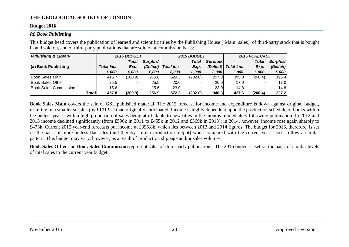#### **Budget 2016**

#### *(a) Book Publishing*

This budget head covers the publication of learned and scientific titles by the Publishing House ('Main' sales), of third-party stock that is bought in and sold on, and of third-party publications that are sold on a commission basis:

| <b>Publishing &amp; Library</b> |       |            | 2016 BUDGET              |          |                      | 2015 BUDGET  |                      | 2015 FORECAST |                          |           |  |
|---------------------------------|-------|------------|--------------------------|----------|----------------------|--------------|----------------------|---------------|--------------------------|-----------|--|
|                                 |       |            | <b>Total</b>             | Surplus' |                      | <b>Total</b> | Surplus <sup>/</sup> |               | Total                    | Surplus   |  |
| (a) Book Publishing             |       | Total Inc. | Exp.                     |          | (Deficit) Total Inc. | Exp.         | (Deficit)            | Total Inc.    | Exp.                     | (Deficit) |  |
|                                 |       | £,000      | £,000                    | £,000    | £,000                | £,000        | £,000                | £,000         | £,000                    | £,000     |  |
| Book Sales Main                 |       | 416.7      | (200.9)                  | 215.8    | 529.3                | (232.0)      | 297.3                | 395.8         | (200.4)                  | 195.4     |  |
| Book Sales Other                |       | 25.5       |                          | 25.5     | 20.0                 |              | 20.0                 | 17.0          |                          | 17.0      |  |
| Book Sales Commission           |       | 15.6       | $\overline{\phantom{0}}$ | 15.6I    | 23.0                 |              | 23.0                 | 14.8          | $\overline{\phantom{a}}$ | 14.8      |  |
|                                 | Total | 457.8      | (200.9)                  | 256.9    | 572.3                | (232.0)      | 340.3                | 427.6         | (200.4)                  | 227.2     |  |

**Book Sales Main** covers the sale of GSL published material. The 2015 forecast for income and expenditure is down against original budget, resulting in a smaller surplus (by £101.9k) than originally anticipated. Income is highly dependent upon the production schedule of books within the budget year – with a high proportion of sales being attributable to new titles in the months immediately following publication. In 2012 and 2013 income declined significantly (from £596k in 2011 to £455k in 2012 and £369k in 2013); in 2014, however, income rose again sharply to £475k. Current 2015 year-end forecasts put income at £395.8k, which lies between 2013 and 2014 figures. The budget for 2016, therefore, is set on the basis of more or less flat sales (and thereby similar production output) when compared with the current year. Costs follow a similar pattern. This budget may vary, however, as a result of production slippage and/or sales volumes.

**Book Sales Other** and **Book Sales Commission** represent sales of third-party publications. The 2016 budget is set on the basis of similar levels of total sales to the current year budget.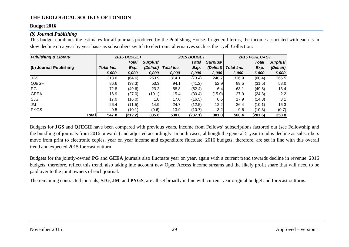#### **Budget 2016**

#### *(b) Journal Publishing*

This budget combines the estimates for all journals produced by the Publishing House. In general terms, the income associated with each is in slow decline on a year by year basis as subscribers switch to electronic alternatives such as the Lyell Collection:

| <b>Publishing &amp; Library</b> |            | 2016 BUDGET  |                      |            | 2015 BUDGET |           | 2015 FORECAST |         |           |  |
|---------------------------------|------------|--------------|----------------------|------------|-------------|-----------|---------------|---------|-----------|--|
|                                 |            | <b>Total</b> | Surplus <sup>/</sup> |            | Total       | Surplus'  |               | Total   | Surplus'  |  |
| (b) Journal Publishing          | Total Inc. | Exp.         | (Deficit)            | Total Inc. | Exp.        | (Deficit) | Total Inc.    | Exp.    | (Deficit) |  |
|                                 | £,000      | £,000        | £,000                | £,000      | £,000       | £,000     | £,000         | £,000   | £,000     |  |
| <b>JGS</b>                      | 318.6      | (64.6)       | 253.9                | 314.1      | (73.4)      | 240.7     | 326.9         | (60.4)  | 266.5     |  |
| <b>QJEGH</b>                    | 86.6       | (33.3)       | 53.3                 | 94.1       | (41.2)      | 52.9      | 89.5          | (31.5)  | 58.0      |  |
| IPG.                            | 72.8       | (49.6)       | 23.2                 | 58.8       | (52.4)      | 6.4       | 63.1          | (49.8)  | 13.4      |  |
| <b>IGEEA</b>                    | 16.9       | (27.0)       | (10.1)               | 15.4       | (30.4)      | (15.0)    | 27.0          | (24.8)  | 2.2       |  |
| <b>SJG</b>                      | 17.0       | (16.0)       | 1.0                  | 17.0       | (16.5)      | 0.5       | 17.9          | (14.8)  | 3.1       |  |
| IJМ                             | 26.4       | (11.5)       | 14.9                 | 24.7       | (12.5)      | 12.2      | 26.4          | (10.1)  | 16.3      |  |
| <b>PYGS</b>                     | 9.5        | (10.1)       | (0.6)                | 13.9       | (10.7)      | 3.2       | 9.6           | (10.3)  | (0.7)     |  |
| Total                           | 547.8      | (212.2)      | 335.6                | 538.0      | (237.1)     | 301.0     | 560.4         | (201.6) | 358.8     |  |

Budgets for **JGS** and **QJEGH** have been compared with previous years, income from Fellows' subscriptions factored out (see Fellowship and the bundling of journals from 2016 onwards) and adjusted accordingly. In both cases, although the general 5-year trend is decline as subscribers move from print to electronic copies, year on year income and expenditure fluctuate. 2016 budgets, therefore, are set in line with this overall trend and expected 2015 forecast outturn.

Budgets for the jointly-owned **PG** and **GEEA** journals also fluctuate year on year, again with a current trend towards decline in revenue. 2016 budgets, therefore, reflect this trend, also taking into account new Open Access income streams and the likely profit share that will need to be paid over to the joint owners of each journal.

The remaining contracted journals, **SJG**, **JM**, and **PYGS**, are all set broadly in line with current year original budget and forecast outturns.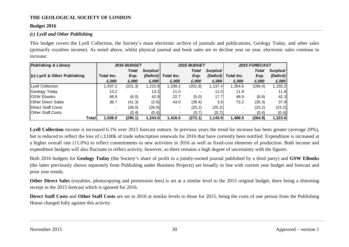#### **Budget 2016**

#### *(c) Lyell and Other Publishing*

This budget covers the Lyell Collection, the Society's main electronic archive of journals and publications, Geology Today, and other sales (primarily royalties income). As noted above, whilst physical journal and book sales are in decline year on year, electronic sales continue to increase:

| <b>Publishing &amp; Library</b> |                | 2016 BUDGET  |                   |            | 2015 BUDGET |                      | 2015 FORECAST |         |           |  |
|---------------------------------|----------------|--------------|-------------------|------------|-------------|----------------------|---------------|---------|-----------|--|
|                                 |                | <b>Total</b> | Surplus'          |            | Total       | Surplus <sup>/</sup> |               | Total   | Surplus/  |  |
| (c) Lyell & Other Publishing    | Total Inc.     | Exp.         | (Deficit)         | Total Inc. | Exp.        | (Deficit)            | Total Inc.    | Exp.    | (Deficit) |  |
|                                 | £,000          | £,000        | £,000             | £,000      | £,000       | £,000                | £,000         | £,000   | £,000     |  |
| Lyell Collection                | 1,437.2        | (221.3)      | 1,215.8           | 1,339.2    | (201.8)     | 1,137.4              | 1,354.6       | (199.4) | 1,155.2   |  |
| Geology Today                   | 13.2           |              | 13.2 <sub>l</sub> | 11.0       |             | 11.0                 | 11.8          |         | 11.8      |  |
| <b>GSW Ebooks</b>               | 48.9           | (6.0)        | 42.9              | 22.7       | (5.0)       | 17.7                 | 48.9          | (6.6)   | 42.3      |  |
| <b>Other Direct Sales</b>       | 38.7           | (41.3)       | (2.6)             | 43.0       | (39.4)      | 3.6                  | 73.2          | (35.3)  | 37.9      |  |
| <b>IDirect Staff Costs</b>      | $\blacksquare$ | (26.0)       | (26.0)            |            | (25.2)      | (25.2)               |               | (23.2)  | (23.2)    |  |
| <b>Other Staff Costs</b>        |                | (0.4)        | (0.4)             |            | (0.7)       | (0.7)                |               | (0.4)   | (0.4)     |  |
| Total                           | 1,538.0        | (295.1)      | 1,243.0           | 1,416.0    | (272.1)     | 1,143.9              | 1,488.5       | (264.9) | 1,223.6   |  |

Lyell Collection income is increased 6.1% over 2015 forecast outturn. In previous years the trend for increase has been greater (average 20%), but is reduced to reflect the loss of c.£100k of trade subscription renewals for 2016 that have currently been notified. Expenditure is increased at a higher overall rate (11.0%) to reflect commitments to new activities in 2016 as well as fixed-cost elements of production. Both income and expenditure budgets will also fluctuate to reflect activity, however, so there remains a high degree of uncertainty with the figures.

Both 2016 budgets for **Geology Today** (the Society's share of profit in a jointly-owned journal published by a third party) and **GSW EBooks** (the latter previously shown separately from Publishing under Business Projects) are broadly in line with current year budget and forecast and prior year trends.

**Other Direct Sales** (royalties, photocopying and permission fees) is set at a similar level to the 2015 original budget, there being a distorting receipt in the 2015 forecast which is ignored for 2016.

**Direct Staff Costs** and **Other Staff Costs** are set in 2016 at similar levels to those for 2015, being the costs of one person from the Publishing House charged fully against this activity.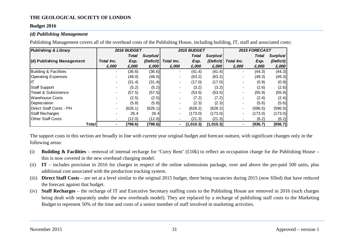#### **Budget 2016**

#### *(d) Publishing Management*

Publishing Management covers all of the overhead costs of the Publishing House, including building, IT, staff and associated costs:

| <b>Publishing &amp; Library</b> |                | 2016 BUDGET |                      |                          | 2015 BUDGET |                       |            | 2015 FORECAST |                      |
|---------------------------------|----------------|-------------|----------------------|--------------------------|-------------|-----------------------|------------|---------------|----------------------|
|                                 |                | Total       | Surplus <sup>/</sup> |                          | Total       | Surplus <sup>/1</sup> |            | Total         | Surplus <sup>/</sup> |
| (d) Publishing Management       | Total Inc.     | Exp.        | (Deficit)            | Total Inc.               | Exp.        | (Deficit)             | Total Inc. | Exp.          | (Deficit)            |
|                                 | £,000          | £,000       | £,000                | £,000                    | £,000       | £,000                 | £,000      | £,000         | £,000                |
| Building & Facilities           | $\blacksquare$ | (36.6)      | (36.6)               | $\overline{\phantom{a}}$ | (41.4)      | (41.4)                |            | (44.3)        | (44.3)               |
| <b>Operating Expenses</b>       |                | (48.0)      | (48.0)               |                          | (63.2)      | (63.2)                |            | (49.3)        | (49.3)               |
|                                 |                | (31.4)      | (31.4)               | $\overline{\phantom{0}}$ | (17.0)      | (17.0)                |            | (0.9)         | (0.9)                |
| <b>Staff Support</b>            |                | (5.2)       | (5.2)                |                          | (3.2)       | (3.2)                 |            | (2.6)         | (2.6)                |
| Travel & Subsistence            | $\blacksquare$ | (57.5)      | (57.5)               | $\overline{\phantom{0}}$ | (53.5)      | (53.5)                |            | (55.9)        | (55.9)               |
| <b>Warehouse Costs</b>          |                | (2.5)       | (2.5)                |                          | (7.2)       | (7.2)                 |            | (2.4)         | (2.4)                |
| Depreciation                    |                | (5.8)       | (5.8)                |                          | (2.3)       | (2.3)                 |            | (5.6)         | (5.6)                |
| Direct Staff Costs - PH         |                | (626.1)     | (626.1)              |                          | (628.2)     | (628.2)               |            | (596.5)       | (596.5)              |
| Staff Recharges                 |                | 26.4        | 26.4                 | $\overline{\phantom{0}}$ | (173.0)     | (173.0)               |            | (173.0)       | (173.0)              |
| <b>Other Staff Costs</b>        | $\blacksquare$ | (12.0)      | (12.0)               |                          | (21.3)      | (21.3)                |            | (6.2)         | (6.2)                |
| Totall                          |                | (798.6)     | (798.6)              |                          | (1,010.3)   | (1,010.3)             | ۰          | (936.7)       | (936.7)              |

The support costs in this section are broadly in line with current year original budget and forecast outturn, with significant changes only in the following areas:

- (i) **Building & Facilities** removal of internal recharge for 'Curry Rent' (£10k) to reflect an occupation charge for the Publishing House this is now covered in the new overhead charging model.
- (ii) **IT** includes provision in 2016 for charges in respect of the online submissions package, over and above the pre-paid 500 units, plus additional cost associated with the production tracking system.
- (iii) **Direct Staff Costs** are set at a level similar to the original 2015 budget, there being vacancies during 2015 (now filled) that have reduced the forecast against that budget.
- (iv) **Staff Recharges** the recharge of IT and Executive Secretary staffing costs to the Publishing House are removed in 2016 (such charges being dealt with separately under the new overheads model). They are replaced by a recharge of publishing staff costs to the Marketing Budget to represent 50% of the time and costs of a senior member of staff involved in marketing activities.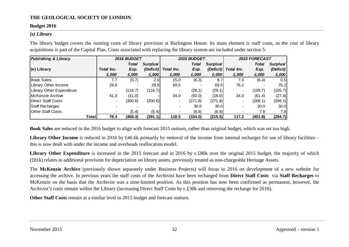#### **Budget 2016**

#### *(e) Library*

The library budget covers the running costs of library provision at Burlington House. Its main element is staff costs, as the cost of library acquisitions is part of the Capital Plan. Costs associated with replacing the library system are included under section 5:

| <b>Publishing &amp; Library</b>  |                | 2016 BUDGET  |                      |            | 2015 BUDGET  |                      | 2015 FORECAST  |         |           |  |
|----------------------------------|----------------|--------------|----------------------|------------|--------------|----------------------|----------------|---------|-----------|--|
|                                  |                | <b>Total</b> | Surplus <sup>/</sup> |            | <b>Total</b> | Surplus <sup>/</sup> |                | Total   | Surplus/  |  |
| $(e)$ Library                    | Total Inc.     | Exp.         | (Deficit)            | Total Inc. | Exp.         | (Deficit)            | Total Inc.     | Exp.    | (Deficit) |  |
|                                  | £,000          | £,000        | £,000                | £,000      | £,000        | £,000                | £,000          | £,000   | £,000     |  |
| <b>Book Sales</b>                | 7.7            | (5.7)        | 2.0 <sub>l</sub>     | 15.0       | (6.3)        | 8.7                  | 7.0            | (6.4)   | 0.5       |  |
| Library Other Income             | 29.6           |              | 29.6                 | 69.5       |              | 69.5                 | 76.2           |         | 76.2      |  |
| <b>Library Other Expenditure</b> |                | (116.7)      | (116.7)              |            | (29.1)       | (29.1)               |                | (105.7) | (105.7)   |  |
| McKenzie Archive                 | 41.0           | (41.0)       |                      | 34.0       | (50.0)       | (16.0)               | 34.0           | (61.4)  | (27.4)    |  |
| Direct Staff Costs               | $\blacksquare$ | (300.6)      | (300.6)              |            | (271.8)      | (271.8)              |                | (266.1) | (266.1)   |  |
| Staff Recharges                  |                |              |                      |            | 30.0         | 30.0                 | $\blacksquare$ | 30.0    | 30.0      |  |
| <b>Other Staff Costs</b>         |                | (5.4)        | (5.4)                |            | (6.8)        | (6.8)                |                | 7.8     | 7.8       |  |
| Total                            | 78.4           | (469.4)      | (391.1)              | 118.5      | (334.0)      | (215.5)              | 117.2          | (401.8) | (284.7)   |  |

**Book Sales** are reduced in the 2016 budget to align with forecast 2015 outturn, rather than original budget, which was set too high.

Library Other Income is reduced in 2016 by £46.6k primarily by removal of the income from internal recharges for use of library facilities – this is now dealt with under the income and overheads reallocation model.

Library Other Expenditure is increased in the 2015 forecast and in 2016 by c.£80k over the original 2015 budget, the majority of which (£81k) relates to additional provision for depreciation on library assets, previously treated as non-chargeable Heritage Assets.

The **McKenzie Archive** (previously shown separately under Business Projects) will focus in 2016 on development of a new website for accessing the archive. In previous years the staff costs of the Archivist have been recharged from **Direct Staff Costs** via **Staff Recharges** to McKenzie on the basis that the Archivist was a time-limited position. As this position has now been confirmed as permanent, however, the Archivist's costs remain within the Library (increasing Direct Staff Costs by c.£30k and removing the recharge for 2016).

**Other Staff Costs** remain at a similar level to 2015 budget and forecast outturn.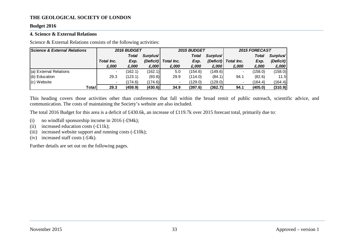#### **Budget 2016**

#### <span id="page-33-0"></span>**4. Science & External Relations**

Science & External Relations consists of the following activities:

| <b>Science &amp; External Relations</b> |                | <b>2016 BUDGET</b> |                      |            | 2015 BUDGET  |                      | 2015 FORECAST |         |           |  |
|-----------------------------------------|----------------|--------------------|----------------------|------------|--------------|----------------------|---------------|---------|-----------|--|
|                                         |                | <b>Total</b>       | Surplus <sup>/</sup> |            | <b>Total</b> | Surplus <sup>/</sup> |               | Total   | Surplus   |  |
|                                         | Total Inc.     | Exp.               | (Deficit)            | Total Inc. | Exp.         | (Deficit)            | Total Inc.    | Exp.    | (Deficit) |  |
|                                         | £,000          | £,000              | £,000                | £,000      | £,000        | £,000                | £,000         | £,000   | £,000     |  |
| (a) External Relations                  | $\blacksquare$ | (162.1)            | (162.1)              | 5.0        | (154.6)      | (149.6)              |               | (158.0) | (158.0)   |  |
| $(b)$ Education                         | 29.3           | (123.1)            | (93.8)               | 29.9       | (114.0)      | (84.1)               | 94.1          | (82.6)  | 11.5      |  |
| $(c)$ Website                           | $\blacksquare$ | (174.6)            | (174.6)              |            | (129.0)      | (129.0)              |               | (164.4) | (164.4)   |  |
| Total                                   | 29.3           | (459.9)            | (430.6)              | 34.9       | (397.6)      | (362.7)              | 94.1          | (405.0) | (310.9)   |  |

This heading covers those activities other than conferences that fall within the broad remit of public outreach, scientific advice, and communication. The costs of maintaining the Society's website are also included.

The total 2016 Budget for this area is a deficit of £430.6k, an increase of £119.7k over 2015 forecast total, primarily due to:

- (i) no windfall sponsorship income in 2016 (-£94k);
- (ii) increased education costs  $(-£11k)$ ;
- (iii) increased website support and running costs  $(-£10k)$ ;
- (iv) increased staff costs (-£4k).

Further details are set out on the following pages.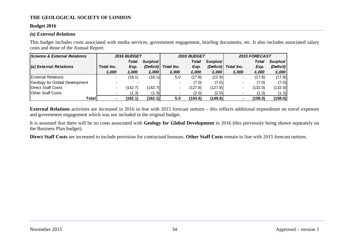#### **Budget 2016**

#### *(a) External Relations*

This budget includes costs associated with media services, government engagement, briefing documents, etc. It also includes associated salary costs and those of the Annual Report.

| <b>Science &amp; External Relations</b> |                | 2016 BUDGET  |                      |            | 2015 BUDGET  |                      | 2015 FORECAST |         |           |  |
|-----------------------------------------|----------------|--------------|----------------------|------------|--------------|----------------------|---------------|---------|-----------|--|
|                                         |                | <b>Total</b> | Surplus <sup>/</sup> |            | <b>Total</b> | Surplus <sup>/</sup> |               | Total   | Surplus   |  |
| (a) External Relations                  | Total Inc.     | Exp.         | (Deficit)            | Total Inc. | Exp.         | (Deficit)            | Total Inc.    | Exp.    | (Deficit) |  |
|                                         | £,000          | £,000        | £,000                | £,000      | £,000        | £,000                | £,000         | £,000   | £,000     |  |
| <b>External Relations</b>               | $\blacksquare$ | (18.1)       | (18.1)               | 5.0        | (17.8)       | (12.8)               |               | (17.8)  | (17.8)    |  |
| Geology for Global Development          |                |              |                      |            | (7.0)        | (7.0)                |               | (7.0)   | (7.0)     |  |
| Direct Staff Costs                      |                | 142.7)       | (142.7)              |            | (127.8)      | (127.8)              |               | (132.0) | (132.0)   |  |
| <b>Other Staff Costs</b>                |                | (1.3)        | (1.3)                |            | (2.0)        | (2.0)                |               | (1.3)   | (1.3)     |  |
| Total                                   |                | (162.1)      | (162.1)              | 5.0        | (154.6)      | (149.6)              |               | (158.0) | (158.0)   |  |

**External Relations** activities are increased in 2016 in line with 2015 forecast outturn – this reflects additional expenditure on travel expenses and government engagement which was not included in the original budget.

It is assumed that there will be no costs associated with **Geology for Global Development** in 2016 (this previously being shown separately on the Business Plan budget).

**Direct Staff Costs** are increased to include provision for contractual bonuses. **Other Staff Costs** remain in line with 2015 forecast outturn.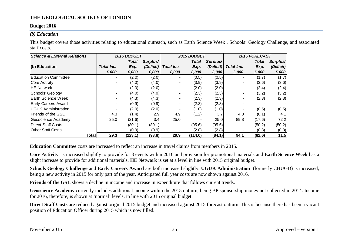#### **Budget 2016**

#### *(b) Education*

This budget covers those activities relating to educational outreach, such as Earth Science Week , Schools' Geology Challenge, and associated staff costs.

| <b>Science &amp; External Relations</b> |                          | 2016 BUDGET  |                      | 2015 BUDGET |         |                      |            | 2015 FORECAST |           |
|-----------------------------------------|--------------------------|--------------|----------------------|-------------|---------|----------------------|------------|---------------|-----------|
|                                         |                          | <b>Total</b> | Surplus <sup>/</sup> |             | Total   | Surplus <sup>/</sup> |            | <b>Total</b>  | Surplus'  |
| $(b)$ Education                         | Total Inc.               | Exp.         | (Deficit)            | Total Inc.  | Exp.    | (Deficit)            | Total Inc. | Exp.          | (Deficit) |
|                                         | £,000                    | £,000        | £,000                | £,000       | £,000   | £,000                | £,000      | £,000         | £,000     |
| <b>Education Committee</b>              | $\blacksquare$           | (2.0)        | (2.0)                |             | (0.5)   | (0.5)                |            | (1.7)         | (1.7)     |
| Core Activity                           |                          | (4.0)        | (4.0)                |             | (3.9)   | (3.9)                |            | (3.6)         | (3.6)     |
| <b>HE Network</b>                       | $\blacksquare$           | (2.0)        | (2.0)                |             | (2.0)   | (2.0)                |            | (2.4)         | (2.4)     |
| Schools' Geology                        | $\blacksquare$           | (4.0)        | (4.0)                |             | (2.3)   | (2.3)                |            | (3.2)         | (3.2)     |
| <b>Earth Science Week</b>               |                          | (4.3)        | (4.3)                |             | (2.3)   | (2.3)                |            | (2.3)         | (2.3)     |
| Early Careers Award                     | $\blacksquare$           | (0.9)        | (0.9)                |             | (2.3)   | (2.3)                |            |               |           |
| <b>UGUK Administration</b>              |                          | (2.0)        | (2.0)                |             | (1.0)   | (1.0)                |            | (0.5)         | (0.5)     |
| Friends of the GSL                      | 4.3                      | (1.4)        | 2.9                  | 4.9         | (1.2)   | 3.7                  | 4.3        | (0.1)         | 4.1       |
| Geoscience Academy                      | 25.0                     | (21.6)       | 3.4                  | 25.0        |         | 25.0                 | 89.8       | (17.6)        | 72.2      |
| Direct Staff Costs                      | $\overline{\phantom{a}}$ | (80.1)       | (80.1)               |             | (95.6)  | (95.6)               |            | (50.2)        | (50.2)    |
| <b>Other Staff Costs</b>                |                          | (0.9)        | (0.9)                |             | (2.8)   | (2.8)                |            | (0.8)         | (0.8)     |
| Total                                   | 29.3                     | (123.1)      | (93.8)               | 29.9        | (114.0) | (84.1)               | 94.1       | (82.6)        | 11.5      |

**Education Committee** costs are increased to reflect an increase in travel claims from members in 2015.

**Core Activity** is increased slightly to provide for 3 events within 2016 and provision for promotional materials and **Earth Science Week** has a slight increase to provide for additional materials. **HE Network** is set at a level in line with 2015 original budget.

**Schools Geology Challenge** and **Early Careers Award** are both increased slightly. **UGUK Administration** (formerly CHUGD) is increased, being a new activity in 2015 for only part of the year. Anticipated full year costs are now shown against 2016.

**Friends of the GSL** shows a decline in income and increase in expenditure that follows current trends.

**Geoscience Academy** currently includes additional income within the 2015 outturn, being BP sponsorship money not collected in 2014. Income for 2016, therefore, is shown at 'normal' levels, in line with 2015 original budget.

**Direct Staff Costs** are reduced against original 2015 budget and increased against 2015 forecast outturn. This is because there has been a vacant position of Education Officer during 2015 which is now filled.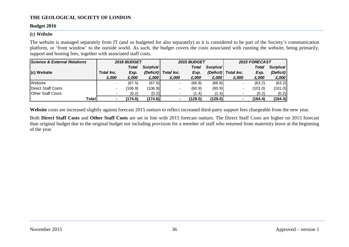#### **Budget 2016**

#### *(c) Website*

The website is managed separately from IT (and so budgeted for also separately) as it is considered to be part of the Society's communication platform, or 'front window' to the outside world. As such, the budget covers the costs associated with running the website, being primarily, support and hosting fees, together with associated staff costs.

| Science & External Relations | 2016 BUDGET |              |                      | <b>2015 BUDGET</b> |         |                      | 2015 FORECAST |         |           |
|------------------------------|-------------|--------------|----------------------|--------------------|---------|----------------------|---------------|---------|-----------|
|                              |             | <b>Total</b> | Surplus <sup>/</sup> |                    | Total   | Surplus <sup>/</sup> |               | Total   | Surplus   |
| $(c)$ Website                | Total Inc.  | Exp.         | (Deficit)            | Total Inc.         | Exp.    | (Deficit)            | Total Inc.    | Exp.    | (Deficit) |
|                              | £,000       | £,000        | £,000                | £,000              | £,000   | £,000                | £,000         | £,000   | £,000     |
| <b>Website</b>               |             | (67.5)       | (67.5)               |                    | (66.8)  | (66.8)               |               | (63.2)  | (63.2)    |
| Direct Staff Costs           |             | (106.9)      | (106.9)              |                    | (60.9)  | (60.9)               |               | (101.0) | (101.0)   |
| <b>Other Staff Costs</b>     |             | (0.2)        | (0.2)                |                    | (1.4)   | (1.4)                |               | (0.2)   | (0.2)     |
| Total                        |             | (174.6)      | (174.6)              |                    | (129.0) | (129.0)              |               | (164.4) | (164.4)   |

Website costs are increased slightly against forecast 2015 outturn to reflect increased third-party support fees chargeable from the new year.

Both **Direct Staff Costs** and **Other Staff Costs** are set in line with 2015 forecast outturn. The Direct Staff Costs are higher on 2015 forecast than original budget due to the original budget not including provision for a member of staff who returned from maternity leave at the beginning of the year.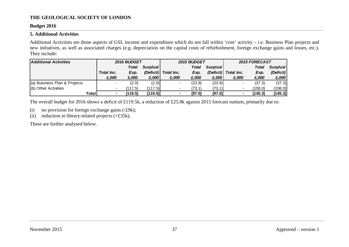#### **Budget 2016**

#### <span id="page-37-0"></span>**5. Additional Activities**

Additional Activities are those aspects of GSL income and expenditure which do not fall within 'core' activity – i.e. Business Plan projects and new initiatives, as well as associated charges (e.g. depreciation on the capital costs of refurbishment, foreign exchange gains and losses, etc.). They include:

| <b>Additional Activities</b> | 2016 BUDGET       |              |                      |            | 2015 BUDGET |                      |            | 2015 FORECAST |           |  |
|------------------------------|-------------------|--------------|----------------------|------------|-------------|----------------------|------------|---------------|-----------|--|
|                              |                   | <b>Total</b> | Surplus <sup>/</sup> |            | Total       | Surplus <sup>/</sup> |            | Total         | Surplus'  |  |
|                              | <b>Total Inc.</b> | Exp.         | (Deficit)            | Total Inc. | Exp.        | (Deficit)            | Total Inc. | Exp.          | (Deficit) |  |
|                              | £,000             | £.000        | £,000                | £,000      | £,000       | £,000                | £,000      | £,000         | £,000     |  |
| (a) Business Plan & Projects |                   | (2.0)        | (2.0)                |            | (23.9)      | (23.9)               |            | (37.3)        | (37.3)    |  |
| (b) Other Activities         |                   | (117.5)      | 117.5                |            | (73.1)      | (73.1)               |            | (108.0)       | (108.0)   |  |
| Totall                       |                   | (119.5)      | (119.5)              |            | (97.0)      | (97.0)               |            | (145.3)       | (145.3)   |  |

The overall budget for 2016 shows a deficit of £119.5k, a reduction of £25.8k against 2015 forecast outturn, primarily due to:

- (i) no provision for foreign exchange gains (-£9k);
- (ii) reduction in library-related projects (+£35k).

These are further analysed below.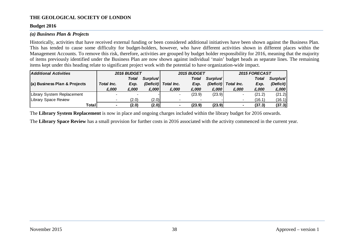#### **Budget 2016**

#### *(a) Business Plan & Projects*

Historically, activities that have received external funding or been considered additional initiatives have been shown against the Business Plan. This has tended to cause some difficulty for budget-holders, however, who have different activities shown in different places within the Management Accounts. To remove this risk, therefore, activities are grouped by budget holder responsibility for 2016, meaning that the majority of items previously identified under the Business Plan are now shown against individual 'main' budget heads as separate lines. The remaining items kept under this heading relate to significant project work with the potential to have organization-wide impact.

| <b>Additional Activities</b> | 2016 BUDGET       |              |                      |            | <b>2015 BUDGET</b> |                      |                          | 2015 FORECAST |           |  |
|------------------------------|-------------------|--------------|----------------------|------------|--------------------|----------------------|--------------------------|---------------|-----------|--|
|                              |                   | <b>Total</b> | Surplus <sup>/</sup> |            | <b>Total</b>       | Surplus <sup>/</sup> |                          | <b>Total</b>  | Surplus/  |  |
| (a) Business Plan & Projects | <b>Total Inc.</b> | Exp.         | (Deficit)            | Total Inc. | Exp.               | (Deficit)            | Total Inc.               | Exp.          | (Deficit) |  |
|                              | £,000             | £,000        | £,000                | £,000      | £,000              | £,000                | £,000                    | £,000         | £,000     |  |
| Library System Replacement   |                   |              |                      |            | (23.9)             | (23.9)               |                          | (21.2)        | (21.2)    |  |
| Library Space Review         |                   | (2.0)        | (2.0)                |            |                    |                      | $\overline{\phantom{a}}$ | (16.1)        | (16.1)    |  |
| Total                        |                   | (2.0)        | (2.0)                |            | (23.9)             | (23.9)               |                          | (37.3)        | (37.3)    |  |

The **Library System Replacement** is now in place and ongoing charges included within the library budget for 2016 onwards.

The **Library Space Review** has a small provision for further costs in 2016 associated with the activity commenced in the current year.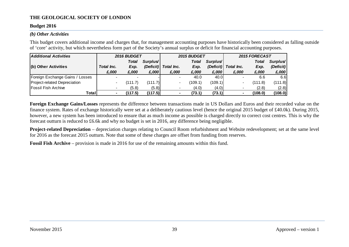#### **Budget 2016**

#### *(b) Other Activities*

This budget covers additional income and charges that, for management accounting purposes have historically been considered as falling outside of 'core' activity, but which nevertheless form part of the Society's annual surplus or deficit for financial accounting purposes.

| <b>Additional Activities</b>    | 2016 BUDGET |              |                      |                   | 2015 BUDGET  |                      |            | 2015 FORECAST |           |  |
|---------------------------------|-------------|--------------|----------------------|-------------------|--------------|----------------------|------------|---------------|-----------|--|
|                                 |             | <b>Total</b> | Surplus <sup>/</sup> |                   | <b>Total</b> | Surplus <sup>/</sup> |            | <b>Total</b>  | Surplus   |  |
| (b) Other Activities            | Total Inc.  | Exp.         | (Deficit)            | <b>Total Inc.</b> | Exp.         | (Deficit)            | Total Inc. | Exp.          | (Deficit) |  |
|                                 | £,000       | £,000        | £,000                | £,000             | £,000        | £,000                | £,000      | £,000         | £,000     |  |
| Foreign Exchange Gains / Losses |             |              |                      |                   | 40.0         | 40.0                 |            | 6.6           | 6.6       |  |
| Project-related Depreciation    | $\,$        | (111.7)      | (111.7)              |                   | (109.1)      | (109.1)              |            | (111.8)       | (111.8)   |  |
| <b>Fossil Fish Archive</b>      |             | (5.8)        | (5.8)                |                   | (4.0)        | (4.0)                |            | (2.8)         | (2.8)     |  |
| Total                           |             | (117.5)      | (117.5)              |                   | (73.1)       | (73.1)               |            | (108.0)       | (108.0)   |  |

**Foreign Exchange Gains/Losses** represents the difference between transactions made in US Dollars and Euros and their recorded value on the finance system. Rates of exchange historically were set at a deliberately cautious level (hence the original 2015 budget of £40.0k). During 2015, however, a new system has been introduced to ensure that as much income as possible is charged directly to correct cost centres. This is why the forecast outturn is reduced to £6.6k and why no budget is set in 2016, any difference being negligible.

**Project-related Depreciation** – depreciation charges relating to Council Room refurbishment and Website redevelopment; set at the same level for 2016 as the forecast 2015 outturn. Note that some of these charges are offset from funding from reserves.

**Fossil Fish Archive** – provision is made in 2016 for use of the remaining amounts within this fund.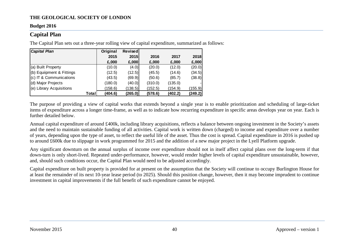#### **Budget 2016**

#### <span id="page-40-0"></span>**Capital Plan**

The Capital Plan sets out a three-year rolling view of capital expenditure, summarized as follows:

| <b>Capital Plan</b>       | Original | Revised |         |         |         |
|---------------------------|----------|---------|---------|---------|---------|
|                           | 2015     | 2015    | 2016    | 2017    | 2018    |
|                           | £,000    | £,000   | £,000   | £,000   | £,000   |
| (a) Built Property        | (10.0)   | (4.0)   | (20.0)  | (12.0)  | (20.0)  |
| (b) Equiipment & Fittings | (12.5)   | (12.5)  | (45.5)  | (14.6)  | (34.5)  |
| (c) IT & Communications   | (43.5)   | (69.9)  | (50.6)  | (85.7)  | (38.8)  |
| (d) Major Projects        | (180.0)  | (40.0)  | (310.0) | (135.0) |         |
| (e) Library Acquisitions  | (158.6)  | (138.5) | (152.5) | (154.9) | (155.9) |
| Total                     | (404.6)  | (265.0) | (578.6) | (402.2) | (249.2) |

The purpose of providing a view of capital works that extends beyond a single year is to enable prioritization and scheduling of large-ticket items of expenditure across a longer time-frame, as well as to indicate how recurring expenditure in specific areas develops year on year. Each is further detailed below.

Annual capital expenditure of around £400k, including library acquisitions, reflects a balance between ongoing investment in the Society's assets and the need to maintain sustainable funding of all activities. Capital work is written down (charged) to income and expenditure over a number of years, depending upon the type of asset, to reflect the useful life of the asset. Thus the cost is spread. Capital expenditure in 2016 is pushed up to around £600k due to slippage in work programmed for 2015 and the addition of a new major project in the Lyell Platform upgrade.

Any significant downturn on the annual surplus of income over expenditure should not in itself affect capital plans over the long-term if that down-turn is only short-lived. Repeated under-performance, however, would render higher levels of capital expenditure unsustainable, however, and, should such conditions occur, the Capital Plan would need to be adjusted accordingly.

Capital expenditure on built property is provided for at present on the assumption that the Society will continue to occupy Burlington House for at least the remainder of its next 10-year lease period (to 2025). Should this position change, however, then it may become imprudent to continue investment in capital improvements if the full benefit of such expenditure cannot be enjoyed.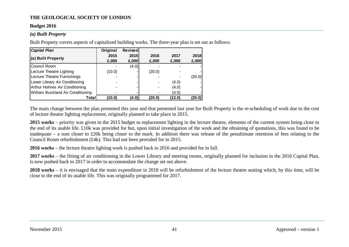#### **Budget 2016**

#### *(a) Built Property*

Built Property covers aspects of capitalized building works. The three-year plan is set out as follows:

| <b>Capital Plan</b>               | Original | Revised |        |        |        |
|-----------------------------------|----------|---------|--------|--------|--------|
| (a) Built Property                | 2015     | 2015    | 2016   | 2017   | 2018   |
|                                   | £,000    | £,000   | £,000  | £,000  | £,000  |
| Council Room                      |          | (4.0)   |        |        |        |
| Lecture Theatre Lighting          | (10.0)   |         | (20.0) |        |        |
| Lecture Theatre Furnishings       |          |         |        |        | (20.0) |
| Lower Library Air Conditioning    |          |         |        | (4.0)  |        |
| Arthur Holmes Air Conditioning    |          |         |        | (4.0)  |        |
| William Buckland Air Conditioning |          |         |        | (4.0)  |        |
| Totall                            | (10.0)   | (4.0)   | (20.0) | (12.0) | (20.0) |

The main change between the plan presented this year and that presented last year for Built Property is the re-scheduling of work due to the cost of lecture theatre lighting replacement, originally planned to take place in 2015.

**2015 works** – priority was given in the 2015 budget to replacement lighting in the lecture theatre, elements of the current system being close to the end of its usable life. £10k was provided for but, upon initial investigation of the work and the obtaining of quotations, this was found to be inadequate – a sum closer to £20k being closer to the mark. In addition there was release of the penultimate retention of fees relating to the Council Room refurbishment (£4k). This had not been provided for in 2015.

**2016 works** – the lecture theatre lighting work is pushed back to 2016 and provided for in full.

**2017 works** – the fitting of air conditioning in the Lower Library and meeting rooms, originally planned for inclusion in the 2016 Capital Plan, is now pushed back to 2017 in order to accommodate the change set out above.

**2018 works** – it is envisaged that the main expenditure in 2018 will be refurbishment of the lecture theatre seating which, by this time, will be close to the end of its usable life. This was originally programmed for 2017.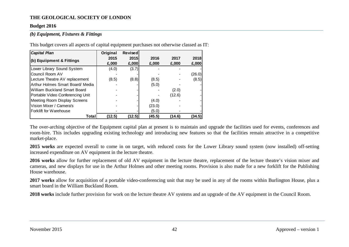#### **Budget 2016**

#### *(b) Equipment, Fixtures & Fittings*

This budget covers all aspects of capital equipment purchases not otherwise classed as IT:

| <b>Capital Plan</b>                 | Original | <b>Revised</b> |        |        |        |
|-------------------------------------|----------|----------------|--------|--------|--------|
|                                     | 2015     | 2015           | 2016   | 2017   | 2018   |
| (b) Equiipment & Fittings           | £,000    | £,000          | £,000  | £,000  | E,000  |
| Lower Library Sound System          | (4.0)    | (3.7)          |        |        |        |
| Council Room AV                     |          |                |        |        | (26.0) |
| Lecture Theatre AV replacement      | (8.5)    | (8.8)          | (8.5)  |        | (8.5)  |
| Arthur Holmes Smart Board/ Media    |          |                | (5.0)  |        |        |
| <b>William Buckland Smart Board</b> |          |                |        | (2.0)  |        |
| Portable Video Conferencing Unit    |          |                |        | (12.6) |        |
| Meeting Room Display Screens        |          |                | (4.0)  |        |        |
| Vision Mixer / Camera's             |          |                | (23.0) |        |        |
| Forklift for Warehouse              |          |                | (5.0)  |        |        |
| Total                               | (12.5)   | (12.5)         | (45.5) | (14.6) | (34.5) |

The over-arching objective of the Equipment capital plan at present is to maintain and upgrade the facilities used for events, conferences and room-hire. This includes upgrading existing technology and introducing new features so that the facilities remain attractive in a competitive market-place.

**2015 works** are expected overall to come in on target, with reduced costs for the Lower Library sound system (now installed) off-setting increased expenditure on AV equipment in the lecture theatre.

**2016 works** allow for further replacement of old AV equipment in the lecture theatre, replacement of the lecture theatre's vision mixer and cameras, and new displays for use in the Arthur Holmes and other meeting rooms. Provision is also made for a new forklift for the Publishing House warehouse.

**2017 works** allow for acquisition of a portable video-conferencing unit that may be used in any of the rooms within Burlington House, plus a smart board in the William Buckland Room.

**2018 works** include further provision for work on the lecture theatre AV systems and an upgrade of the AV equipment in the Council Room.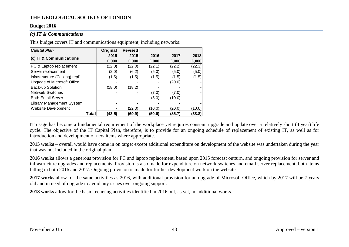#### **Budget 2016**

#### *(c) IT & Communications*

This budget covers IT and communications equipment, including networks:

| <b>Capital Plan</b>             | Original        | <b>Revised</b> |        |        |        |
|---------------------------------|-----------------|----------------|--------|--------|--------|
| (c) IT & Communications         | 2015            | 2015           | 2016   | 2017   | 2018   |
|                                 | £,000           | £,000          | £,000  | £,000  | E,000  |
| PC & Laptop replacement         | (22.0)          | (22.0)         | (22.1) | (22.2) | (22.3) |
| Server replacement              | (2.0)           | (6.2)          | (5.0)  | (5.0)  | (5.0)  |
| Infrastructure (Cabling) repl't | (1.5)           | (1.5)          | (1.5)  | (1.5)  | (1.5)  |
| Upgrade of Microsoft Office     |                 |                |        | (20.0) |        |
| Back-up Solution                | (18.0)          | (18.2)         |        |        |        |
| <b>Network Switches</b>         |                 |                | (7.0)  | (7.0)  |        |
| <b>Bath Email Server</b>        |                 |                | (5.0)  | (10.0) |        |
| Library Management System       |                 |                |        |        |        |
| Website Development             |                 | (22.0)         | (10.0) | (20.0) | (10.0) |
|                                 | (43.5)<br>Total | (69.9)         | (50.6) | (85.7) | (38.8) |

IT usage has become a fundamental requirement of the workplace yet requires constant upgrade and update over a relatively short (4 year) life cycle. The objective of the IT Capital Plan, therefore, is to provide for an ongoing schedule of replacement of existing IT, as well as for introduction and development of new items where appropriate.

**2015 works** – overall would have come in on target except additional expenditure on development of the website was undertaken during the year that was not included in the original plan.

**2016 works** allows a generous provision for PC and laptop replacement, based upon 2015 forecast outturn, and ongoing provision for server and infrastructure upgrades and replacements. Provision is also made for expenditure on network switches and email server replacement, both items falling in both 2016 and 2017. Ongoing provision is made for further development work on the website.

**2017 works** allow for the same activities as 2016, with additional provision for an upgrade of Microsoft Office, which by 2017 will be 7 years old and in need of upgrade to avoid any issues over ongoing support.

**2018 works** allow for the basic recurring activities identified in 2016 but, as yet, no additional works.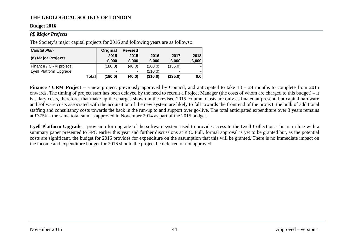#### **Budget 2016**

#### *(d) Major Projects*

The Society's major capital projects for 2016 and following years are as follows::

| <b>Capital Plan</b>    | Original                 | <b>Revised</b> |         |         |       |
|------------------------|--------------------------|----------------|---------|---------|-------|
|                        | 2015                     | <b>2015</b>    | 2016    | 2017    | 2018  |
| (d) Major Projects     | £.000                    | £,000          | £,000   | £,000   | E,000 |
| Finance / CRM project  | (180.0)                  | (40.0)         | (200.0) | (135.0) |       |
| Lyell Platform Upgrade | $\overline{\phantom{a}}$ |                | (110.0) | $\,$    |       |
| Total                  | (180.0)                  | (40.0)         | (310.0) | (135.0) | 0.0   |

**Finance / CRM Project** – a new project, previously approved by Council, and anticipated to take  $18 - 24$  months to complete from 2015 onwards. The timing of project start has been delayed by the need to recruit a Project Manager (the costs of whom are charged to this budget) – it is salary costs, therefore, that make up the charges shown in the revised 2015 column. Costs are only estimated at present, but capital hardware and software costs associated with the acquisition of the new system are likely to fall towards the front end of the project; the bulk of additional staffing and consultancy costs towards the back in the run-up to and support over go-live. The total anticipated expenditure over 3 years remains at £375k – the same total sum as approved in November 2014 as part of the 2015 budget.

**Lyell Platform Upgrade** – provision for upgrade of the software system used to provide access to the Lyell Collection. This is in line with a summary paper presented to FPC earlier this year and further discussions at PIC. Full, formal approval is yet to be granted but, as the potential costs are significant, the budget for 2016 provides for expenditure on the assumption that this will be granted. There is no immediate impact on the income and expenditure budget for 2016 should the project be deferred or not approved.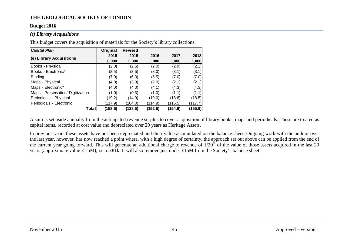#### **Budget 2016**

#### *(e) Library Acquisitions*

This budget covers the acquisition of materials for the Society's library collections:

| <b>Capital Plan</b>               | Original | Revised |         |         |         |
|-----------------------------------|----------|---------|---------|---------|---------|
| (e) Library Acquisitions          | 2015     | 2015    | 2016    | 2017    | 2018    |
|                                   | £,000    | £,000   | £,000   | £,000   | £,000   |
| Books - Physical                  | (2.0)    | (2.5)   | (2.0)   | (2.0)   | (2.1)   |
| Books - Electronic*               | (3.5)    | (3.5)   | (3.0)   | (3.1)   | (3.1)   |
| <b>Binding</b>                    | (7.0)    | (6.0)   | (6.5)   | (7.0)   | (7.0)   |
| Maps - Physical                   | (4.0)    | (3.3)   | (2.0)   | (2.1)   | (2.1)   |
| Maps - Electronic*                | (4.0)    | (4.0)   | (4.1)   | (4.3)   | (4.3)   |
| Maps - Preservation/ Digitization | (1.0)    | (0.3)   | (1.0)   | (1.1)   | (1.1)   |
| Periodicals - Physical            | (19.2)   | (14.9)  | (19.0)  | (18.8)  | (18.5)  |
| Periodicals - Electronic          | (117.9)  | (104.0) | (114.9) | (116.5) | (117.7) |
| Total                             | (158.6)  | (138.5) | (152.5) | (154.9) | (155.9) |

A sum is set aside annually from the anticipated revenue surplus to cover acquisition of library books, maps and periodicals. These are treated as capital items, recorded at cost value and depreciated over 20 years as Heritage Assets.

In previous years these assets have not been depreciated and their value accumulated on the balance sheet. Ongoing work with the auditor over the last year, however, has now reached a point where, with a high degree of certainty, the approach set out above can be applied from the end of the current year going forward. This will generate an additional charge to revenue of  $1/20<sup>th</sup>$  of the value of those assets acquired in the last 20 years (approximate value £1.5M), i.e. c.£81k. It will also remove just under £15M from the Society's balance sheet.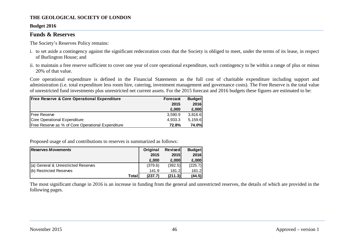#### **Budget 2016**

#### <span id="page-46-0"></span>**Funds & Reserves**

The Society's Reserves Policy remains:

- i. to set aside a contingency against the significant redecoration costs that the Society is obliged to meet, under the terms of its lease, in respect of Burlington House; and
- ii. to maintain a free reserve sufficient to cover one year of core operational expenditure, such contingency to be within a range of plus or minus 20% of that value.

Core operational expenditure is defined in the Financial Statements as the full cost of charitable expenditure including support and administration (i.e. total expenditure less room hire, catering, investment management and governance costs). The Free Reserve is the total value of unrestricted fund investments plus unrestricted net current assets. For the 2015 forecast and 2016 budgets these figures are estimated to be:

| <b>Free Reserve &amp; Core Operational Expenditure</b> | <b>Forecast</b> | <b>Budget</b> |
|--------------------------------------------------------|-----------------|---------------|
|                                                        | 2015            | 2016          |
|                                                        | £.000           | E,000         |
| <b>Free Reserve</b>                                    | 3,590.9         | 3,816.6       |
| Core Operational Expenditure                           | 4,933.3         | 5,159.6       |
| Free Reserve as % of Core Operational Expenditure      | 72.8%           | <b>74.0%</b>  |

Proposed usage of and contributions to reserves is summarized as follows:

| <b>Reserves Movements</b>           | <b>Original</b> | <b>Revised</b> | <b>Budget</b> |
|-------------------------------------|-----------------|----------------|---------------|
|                                     | 2015            | <b>2015</b>    | 2016          |
|                                     | £.000           | £.000          | £,000         |
| (a) General & Unrestricted Reserves | (379.6)         | (392.5)        | (225.7)       |
| (b) Restricted Reserves             | 141.9           | 181.2I         | 181.2         |
| <b>Total</b>                        | (237.7)         | (211.3)        | (44.5)        |

The most significant change in 2016 is an increase in funding from the general and unrestricted reserves, the details of which are provided in the following pages.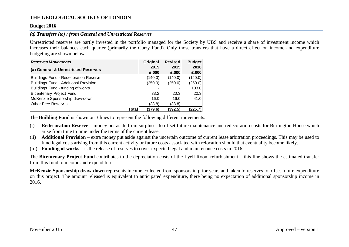#### **Budget 2016**

#### *(a) Transfers (to) / from General and Unrestricted Reserves*

Unrestricted reserves are partly invested in the portfolio managed for the Society by UBS and receive a share of investment income which increases their balances each quarter (primarily the Curry Fund). Only those transfers that have a direct effect on income and expenditure budgeting are shown below.

| <b>Reserves Movements</b>                    | Original | <b>Revised</b> | <b>Budget</b> |
|----------------------------------------------|----------|----------------|---------------|
| (a) General & Unrestricted Reserves          | 2015     | <b>2015</b>    | 2016          |
|                                              | £,000    | £,000          | E,000         |
| <b>Buildings Fund - Redecoration Reserve</b> | (140.0)  | (140.0)        | (140.0)       |
| <b>Buildings Fund - Additional Provision</b> | (250.0)  | (250.0)        | (250.0)       |
| Buildings Fund - funding of works            |          |                | 103.0         |
| <b>Bicentenary Project Fund</b>              | 33.2     | 20.3           | 20.3          |
| McKenzie Sponsorship draw-down               | 16.0     | 16.0           | 41.0          |
| <b>Other Free Reserves</b>                   | (38.8)   | (38.8)         |               |
| Total                                        | (379.6)  | (392.5)        | (225.7)       |

The **Building Fund** is shown on 3 lines to represent the following different movements:

- (i) **Redecoration Reserve** money put aside from surpluses to offset future maintenance and redecoration costs for Burlington House which arise from time to time under the terms of the current lease.
- (ii) **Additional Provision** extra money put aside against the uncertain outcome of current lease arbitration proceedings. This may be used to fund legal costs arising from this current activity or future costs associated with relocation should that eventuality become likely.
- (iii) **Funding of works** is the release of reserves to cover expected legal and maintenance costs in 2016.

The **Bicentenary Project Fund** contributes to the depreciation costs of the Lyell Room refurbishment – this line shows the estimated transfer from this fund to income and expenditure.

**McKenzie Sponsorship draw-down** represents income collected from sponsors in prior years and taken to reserves to offset future expenditure on this project. The amount released is equivalent to anticipated expenditure, there being no expectation of additional sponsorship income in 2016.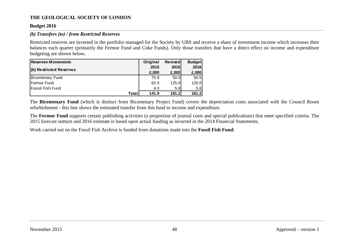#### **Budget 2016**

#### *(b) Transfers (to) / from Restricted Reserves*

Restricted reserves are invested in the portfolio managed for the Society by UBS and receive a share of investment income which increases their balances each quarter (primarily the Fermor Fund and Coke Funds). Only those transfers that have a direct effect on income and expenditure budgeting are shown below.

| <b>Reserves Movements</b> | Original | <b>Revised</b> | <b>Budget</b> |
|---------------------------|----------|----------------|---------------|
|                           | 2015     | <b>2015</b>    | 2016          |
| (b) Restricted Reserves   | £,000    | £,000          | E,000         |
| Bicentenary Fund          | 75.9     | 50.5           | 50.5          |
| lFermor Fund              | 62.0     | 125.0          | 125.0         |
| <b>Fossil Fish Fund</b>   | 4.0      | 5.8            | 5.8           |
| Total                     | 141.9    | 181.2          | 181.2         |

The **Bicentenary Fund** (which is distinct from Bicentenary Project Fund) covers the depreciation costs associated with the Council Room refurbishment - this line shows the estimated transfer from this fund to income and expenditure.

The **Fermor Fund** supports certain publishing activities (a proportion of journal costs and special publications) that meet specified criteria. The 2015 forecast outturn and 2016 estimate is based upon actual funding as incurred in the 2014 Financial Statements.

Work carried out on the Fossil Fish Archive is funded from donations made into the **Fossil Fish Fund**.